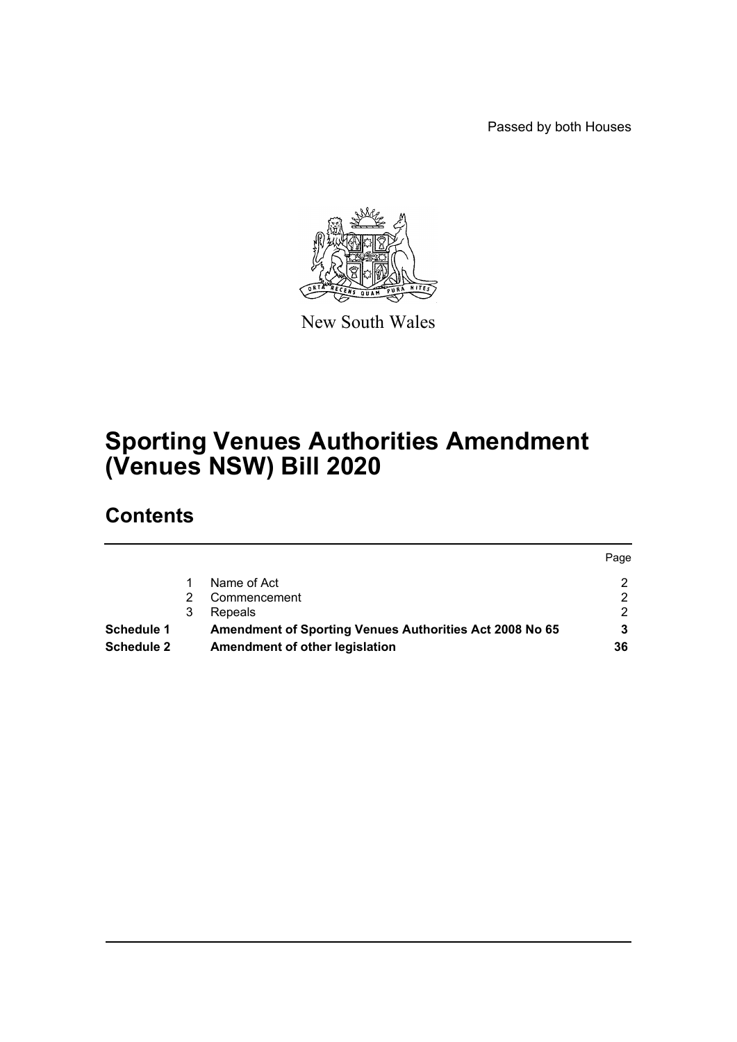Passed by both Houses



New South Wales

# **Sporting Venues Authorities Amendment (Venues NSW) Bill 2020**

# **Contents**

| <b>Schedule 2</b> |   | Amendment of other legislation                          | 36   |
|-------------------|---|---------------------------------------------------------|------|
| <b>Schedule 1</b> |   | Amendment of Sporting Venues Authorities Act 2008 No 65 |      |
|                   | 3 | Repeals                                                 |      |
|                   |   | Commencement                                            |      |
|                   |   | Name of Act                                             |      |
|                   |   |                                                         | Page |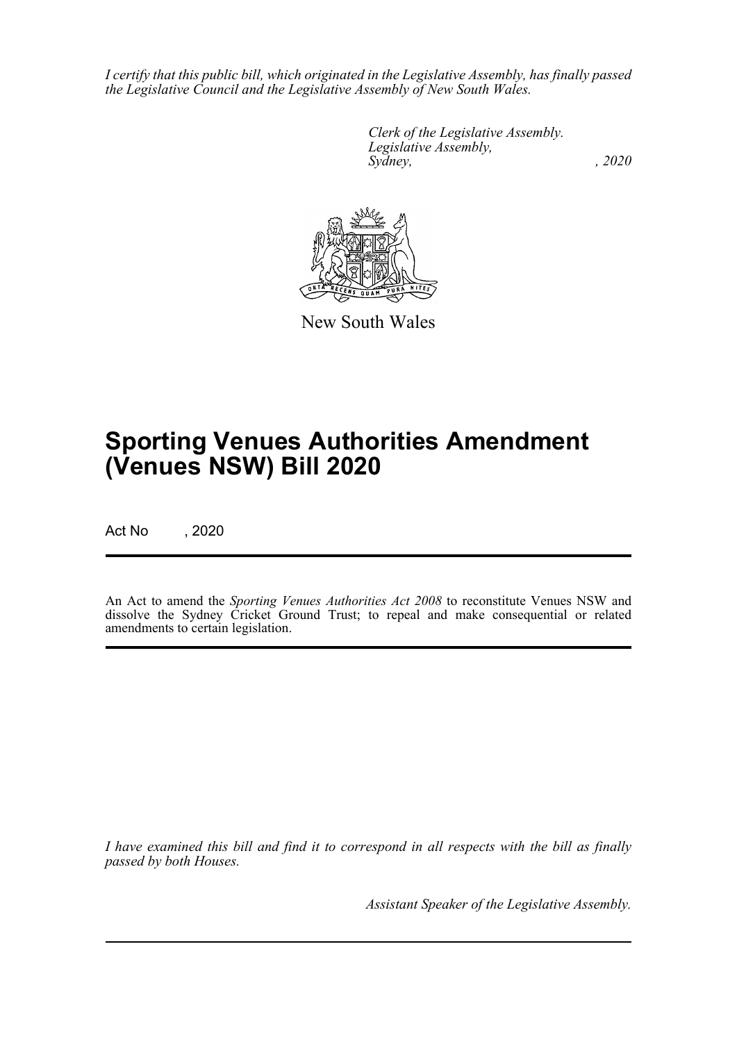*I certify that this public bill, which originated in the Legislative Assembly, has finally passed the Legislative Council and the Legislative Assembly of New South Wales.*

> *Clerk of the Legislative Assembly. Legislative Assembly, Sydney, , 2020*



New South Wales

# **Sporting Venues Authorities Amendment (Venues NSW) Bill 2020**

Act No , 2020

An Act to amend the *Sporting Venues Authorities Act 2008* to reconstitute Venues NSW and dissolve the Sydney Cricket Ground Trust; to repeal and make consequential or related amendments to certain legislation.

*I have examined this bill and find it to correspond in all respects with the bill as finally passed by both Houses.*

*Assistant Speaker of the Legislative Assembly.*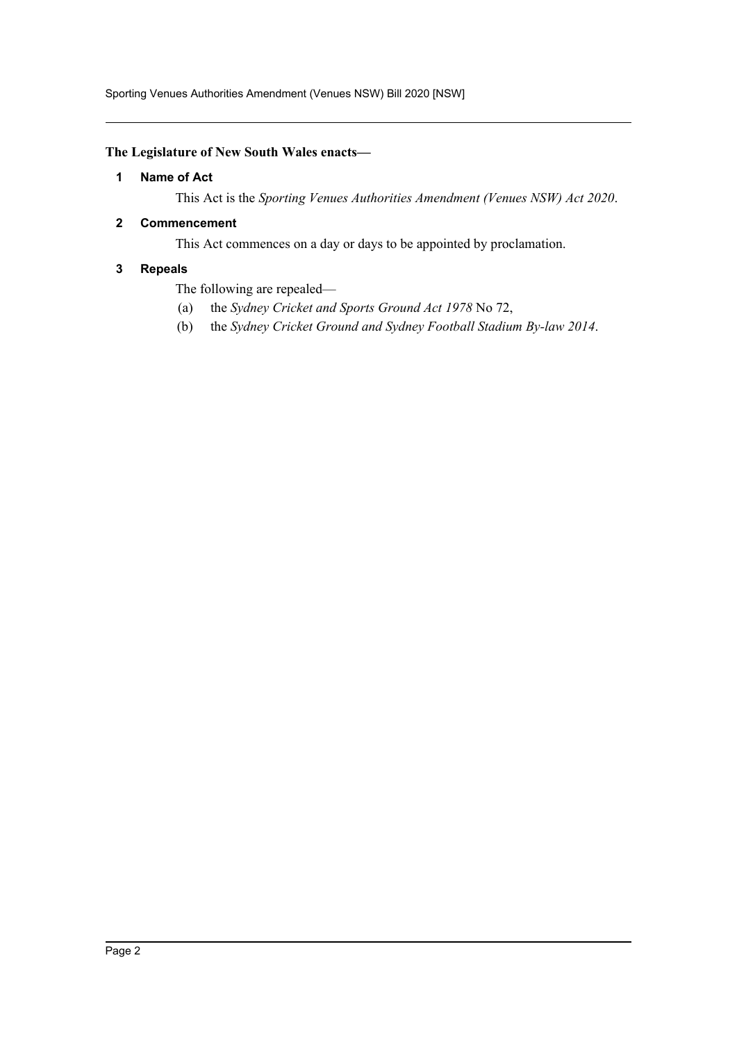Sporting Venues Authorities Amendment (Venues NSW) Bill 2020 [NSW]

#### <span id="page-2-0"></span>**The Legislature of New South Wales enacts—**

#### **1 Name of Act**

This Act is the *Sporting Venues Authorities Amendment (Venues NSW) Act 2020*.

#### <span id="page-2-1"></span>**2 Commencement**

This Act commences on a day or days to be appointed by proclamation.

#### <span id="page-2-2"></span>**3 Repeals**

The following are repealed—

- (a) the *Sydney Cricket and Sports Ground Act 1978* No 72,
- (b) the *Sydney Cricket Ground and Sydney Football Stadium By-law 2014*.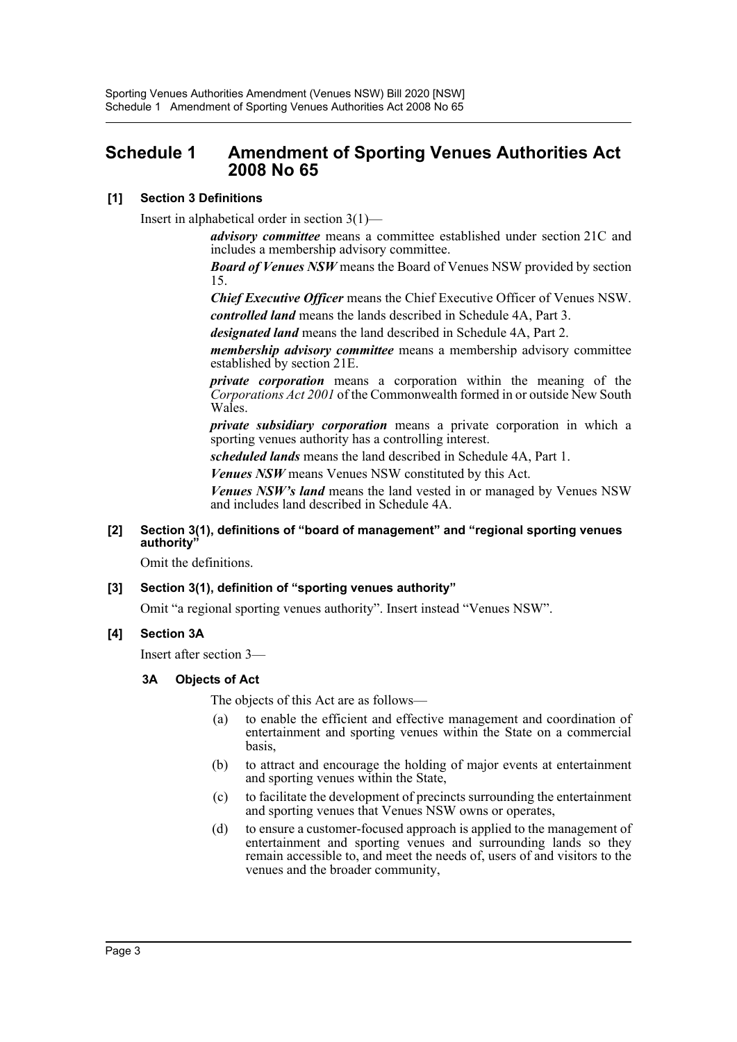## <span id="page-3-0"></span>**Schedule 1 Amendment of Sporting Venues Authorities Act 2008 No 65**

## **[1] Section 3 Definitions**

Insert in alphabetical order in section 3(1)—

*advisory committee* means a committee established under section 21C and includes a membership advisory committee.

*Board of Venues NSW* means the Board of Venues NSW provided by section 15.

*Chief Executive Officer* means the Chief Executive Officer of Venues NSW. *controlled land* means the lands described in Schedule 4A, Part 3.

*designated land* means the land described in Schedule 4A, Part 2.

*membership advisory committee* means a membership advisory committee established by section 21E.

*private corporation* means a corporation within the meaning of the *Corporations Act 2001* of the Commonwealth formed in or outside New South Wales.

*private subsidiary corporation* means a private corporation in which a sporting venues authority has a controlling interest.

*scheduled lands* means the land described in Schedule 4A, Part 1.

*Venues NSW* means Venues NSW constituted by this Act.

*Venues NSW's land* means the land vested in or managed by Venues NSW and includes land described in Schedule 4A.

## **[2] Section 3(1), definitions of "board of management" and "regional sporting venues authority"**

Omit the definitions.

## **[3] Section 3(1), definition of "sporting venues authority"**

Omit "a regional sporting venues authority". Insert instead "Venues NSW".

## **[4] Section 3A**

Insert after section 3—

## **3A Objects of Act**

The objects of this Act are as follows—

- (a) to enable the efficient and effective management and coordination of entertainment and sporting venues within the State on a commercial basis,
- (b) to attract and encourage the holding of major events at entertainment and sporting venues within the State,
- (c) to facilitate the development of precincts surrounding the entertainment and sporting venues that Venues NSW owns or operates,
- (d) to ensure a customer-focused approach is applied to the management of entertainment and sporting venues and surrounding lands so they remain accessible to, and meet the needs of, users of and visitors to the venues and the broader community,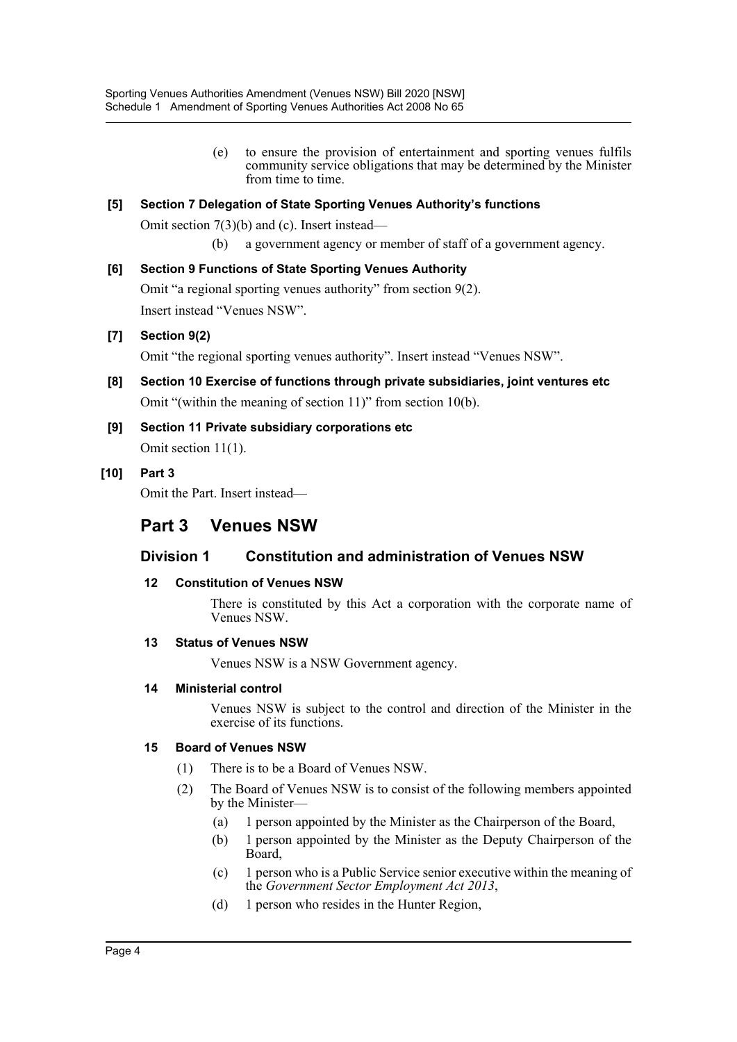(e) to ensure the provision of entertainment and sporting venues fulfils community service obligations that may be determined by the Minister from time to time.

## **[5] Section 7 Delegation of State Sporting Venues Authority's functions**

Omit section 7(3)(b) and (c). Insert instead—

(b) a government agency or member of staff of a government agency.

## **[6] Section 9 Functions of State Sporting Venues Authority**

Omit "a regional sporting venues authority" from section 9(2). Insert instead "Venues NSW".

## **[7] Section 9(2)**

Omit "the regional sporting venues authority". Insert instead "Venues NSW".

- **[8] Section 10 Exercise of functions through private subsidiaries, joint ventures etc** Omit "(within the meaning of section 11)" from section 10(b).
- **[9] Section 11 Private subsidiary corporations etc** Omit section 11(1).

## **[10] Part 3**

Omit the Part. Insert instead—

## **Part 3 Venues NSW**

## **Division 1 Constitution and administration of Venues NSW**

## **12 Constitution of Venues NSW**

There is constituted by this Act a corporation with the corporate name of Venues NSW.

## **13 Status of Venues NSW**

Venues NSW is a NSW Government agency.

## **14 Ministerial control**

Venues NSW is subject to the control and direction of the Minister in the exercise of its functions.

## **15 Board of Venues NSW**

- (1) There is to be a Board of Venues NSW.
- (2) The Board of Venues NSW is to consist of the following members appointed by the Minister—
	- (a) 1 person appointed by the Minister as the Chairperson of the Board,
	- (b) 1 person appointed by the Minister as the Deputy Chairperson of the Board,
	- (c) 1 person who is a Public Service senior executive within the meaning of the *Government Sector Employment Act 2013*,
	- (d) 1 person who resides in the Hunter Region,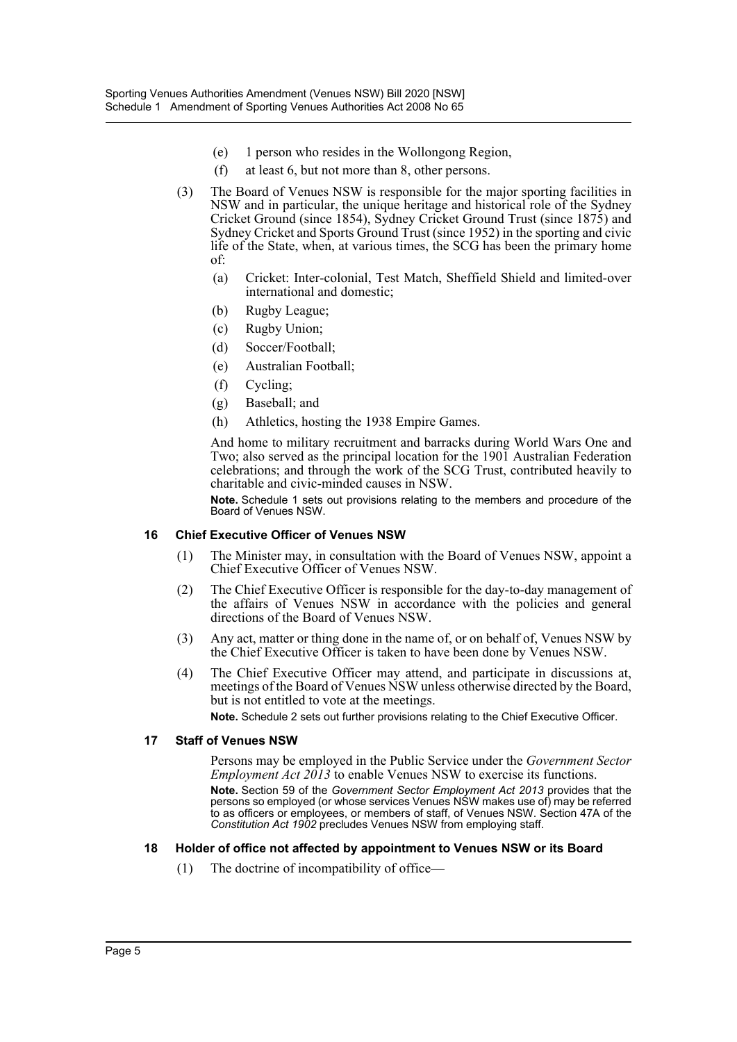- (e) 1 person who resides in the Wollongong Region,
- (f) at least 6, but not more than 8, other persons.
- (3) The Board of Venues NSW is responsible for the major sporting facilities in NSW and in particular, the unique heritage and historical role of the Sydney Cricket Ground (since 1854), Sydney Cricket Ground Trust (since 1875) and Sydney Cricket and Sports Ground Trust (since 1952) in the sporting and civic life of the State, when, at various times, the SCG has been the primary home of:
	- (a) Cricket: Inter-colonial, Test Match, Sheffield Shield and limited-over international and domestic;
	- (b) Rugby League;
	- (c) Rugby Union;
	- (d) Soccer/Football;
	- (e) Australian Football;
	- (f) Cycling;
	- (g) Baseball; and
	- (h) Athletics, hosting the 1938 Empire Games.

And home to military recruitment and barracks during World Wars One and Two; also served as the principal location for the 1901 Australian Federation celebrations; and through the work of the SCG Trust, contributed heavily to charitable and civic-minded causes in NSW.

**Note.** Schedule 1 sets out provisions relating to the members and procedure of the Board of Venues NSW.

#### **16 Chief Executive Officer of Venues NSW**

- (1) The Minister may, in consultation with the Board of Venues NSW, appoint a Chief Executive Officer of Venues NSW.
- (2) The Chief Executive Officer is responsible for the day-to-day management of the affairs of Venues NSW in accordance with the policies and general directions of the Board of Venues NSW.
- (3) Any act, matter or thing done in the name of, or on behalf of, Venues NSW by the Chief Executive Officer is taken to have been done by Venues NSW.
- (4) The Chief Executive Officer may attend, and participate in discussions at, meetings of the Board of Venues NSW unless otherwise directed by the Board, but is not entitled to vote at the meetings.

**Note.** Schedule 2 sets out further provisions relating to the Chief Executive Officer.

#### **17 Staff of Venues NSW**

Persons may be employed in the Public Service under the *Government Sector Employment Act 2013* to enable Venues NSW to exercise its functions. **Note.** Section 59 of the *Government Sector Employment Act 2013* provides that the persons so employed (or whose services Venues NSW makes use of) may be referred to as officers or employees, or members of staff, of Venues NSW. Section 47A of the *Constitution Act 1902* precludes Venues NSW from employing staff.

#### **18 Holder of office not affected by appointment to Venues NSW or its Board**

(1) The doctrine of incompatibility of office—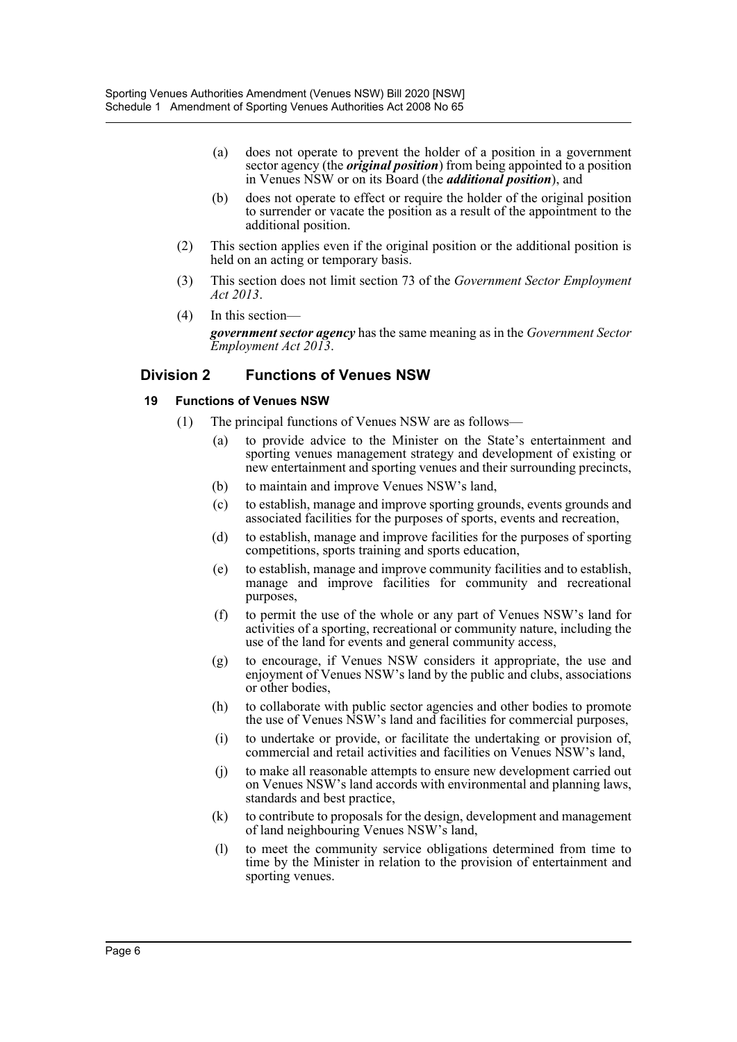- (a) does not operate to prevent the holder of a position in a government sector agency (the *original position*) from being appointed to a position in Venues NSW or on its Board (the *additional position*), and
- (b) does not operate to effect or require the holder of the original position to surrender or vacate the position as a result of the appointment to the additional position.
- (2) This section applies even if the original position or the additional position is held on an acting or temporary basis.
- (3) This section does not limit section 73 of the *Government Sector Employment Act 2013*.
- (4) In this section *government sector agency* has the same meaning as in the *Government Sector Employment Act 2013*.

## **Division 2 Functions of Venues NSW**

#### **19 Functions of Venues NSW**

- (1) The principal functions of Venues NSW are as follows—
	- (a) to provide advice to the Minister on the State's entertainment and sporting venues management strategy and development of existing or new entertainment and sporting venues and their surrounding precincts,
	- (b) to maintain and improve Venues NSW's land,
	- (c) to establish, manage and improve sporting grounds, events grounds and associated facilities for the purposes of sports, events and recreation,
	- (d) to establish, manage and improve facilities for the purposes of sporting competitions, sports training and sports education,
	- (e) to establish, manage and improve community facilities and to establish, manage and improve facilities for community and recreational purposes,
	- (f) to permit the use of the whole or any part of Venues NSW's land for activities of a sporting, recreational or community nature, including the use of the land for events and general community access,
	- (g) to encourage, if Venues NSW considers it appropriate, the use and enjoyment of Venues NSW's land by the public and clubs, associations or other bodies,
	- (h) to collaborate with public sector agencies and other bodies to promote the use of Venues NSW's land and facilities for commercial purposes,
	- (i) to undertake or provide, or facilitate the undertaking or provision of, commercial and retail activities and facilities on Venues NSW's land,
	- (j) to make all reasonable attempts to ensure new development carried out on Venues NSW's land accords with environmental and planning laws, standards and best practice,
	- (k) to contribute to proposals for the design, development and management of land neighbouring Venues NSW's land,
	- (l) to meet the community service obligations determined from time to time by the Minister in relation to the provision of entertainment and sporting venues.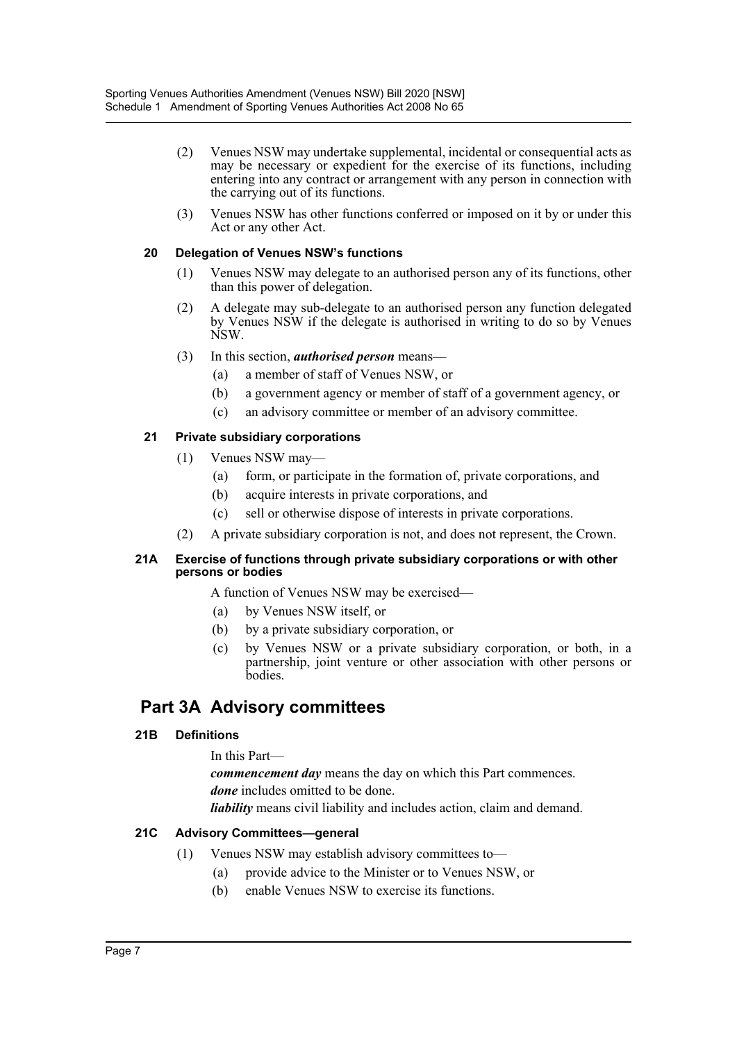- (2) Venues NSW may undertake supplemental, incidental or consequential acts as may be necessary or expedient for the exercise of its functions, including entering into any contract or arrangement with any person in connection with the carrying out of its functions.
- (3) Venues NSW has other functions conferred or imposed on it by or under this Act or any other Act.

#### **20 Delegation of Venues NSW's functions**

- (1) Venues NSW may delegate to an authorised person any of its functions, other than this power of delegation.
- (2) A delegate may sub-delegate to an authorised person any function delegated by Venues NSW if the delegate is authorised in writing to do so by Venues NSW.
- (3) In this section, *authorised person* means—
	- (a) a member of staff of Venues NSW, or
	- (b) a government agency or member of staff of a government agency, or
	- (c) an advisory committee or member of an advisory committee.

#### **21 Private subsidiary corporations**

- (1) Venues NSW may—
	- (a) form, or participate in the formation of, private corporations, and
	- (b) acquire interests in private corporations, and
	- (c) sell or otherwise dispose of interests in private corporations.
- (2) A private subsidiary corporation is not, and does not represent, the Crown.

#### **21A Exercise of functions through private subsidiary corporations or with other persons or bodies**

A function of Venues NSW may be exercised—

- (a) by Venues NSW itself, or
- (b) by a private subsidiary corporation, or
- (c) by Venues NSW or a private subsidiary corporation, or both, in a partnership, joint venture or other association with other persons or bodies.

## **Part 3A Advisory committees**

## **21B Definitions**

In this Part—

*commencement day* means the day on which this Part commences. *done* includes omitted to be done.

*liability* means civil liability and includes action, claim and demand.

## **21C Advisory Committees—general**

- (1) Venues NSW may establish advisory committees to—
	- (a) provide advice to the Minister or to Venues NSW, or
	- (b) enable Venues NSW to exercise its functions.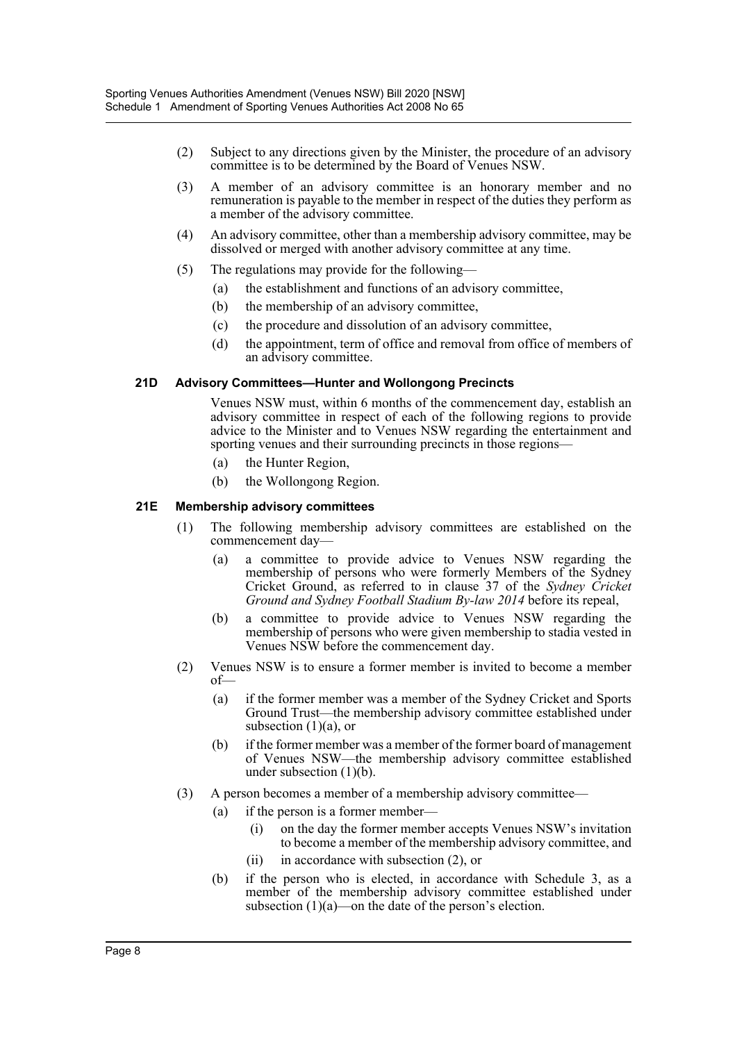- (2) Subject to any directions given by the Minister, the procedure of an advisory committee is to be determined by the Board of Venues NSW.
- (3) A member of an advisory committee is an honorary member and no remuneration is payable to the member in respect of the duties they perform as a member of the advisory committee.
- (4) An advisory committee, other than a membership advisory committee, may be dissolved or merged with another advisory committee at any time.
- (5) The regulations may provide for the following—
	- (a) the establishment and functions of an advisory committee,
	- (b) the membership of an advisory committee,
	- (c) the procedure and dissolution of an advisory committee,
	- (d) the appointment, term of office and removal from office of members of an advisory committee.

#### **21D Advisory Committees—Hunter and Wollongong Precincts**

Venues NSW must, within 6 months of the commencement day, establish an advisory committee in respect of each of the following regions to provide advice to the Minister and to Venues NSW regarding the entertainment and sporting venues and their surrounding precincts in those regions—

- (a) the Hunter Region,
- (b) the Wollongong Region.

#### **21E Membership advisory committees**

- (1) The following membership advisory committees are established on the commencement day—
	- (a) a committee to provide advice to Venues NSW regarding the membership of persons who were formerly Members of the Sydney Cricket Ground, as referred to in clause 37 of the *Sydney Cricket Ground and Sydney Football Stadium By-law 2014* before its repeal,
	- (b) a committee to provide advice to Venues NSW regarding the membership of persons who were given membership to stadia vested in Venues NSW before the commencement day.
- (2) Venues NSW is to ensure a former member is invited to become a member of—
	- (a) if the former member was a member of the Sydney Cricket and Sports Ground Trust—the membership advisory committee established under subsection  $(1)(a)$ , or
	- (b) if the former member was a member of the former board of management of Venues NSW—the membership advisory committee established under subsection  $(1)(b)$ .
- (3) A person becomes a member of a membership advisory committee—
	- (a) if the person is a former member—
		- (i) on the day the former member accepts Venues NSW's invitation to become a member of the membership advisory committee, and
		- (ii) in accordance with subsection (2), or
	- (b) if the person who is elected, in accordance with Schedule 3, as a member of the membership advisory committee established under subsection  $(1)(a)$ —on the date of the person's election.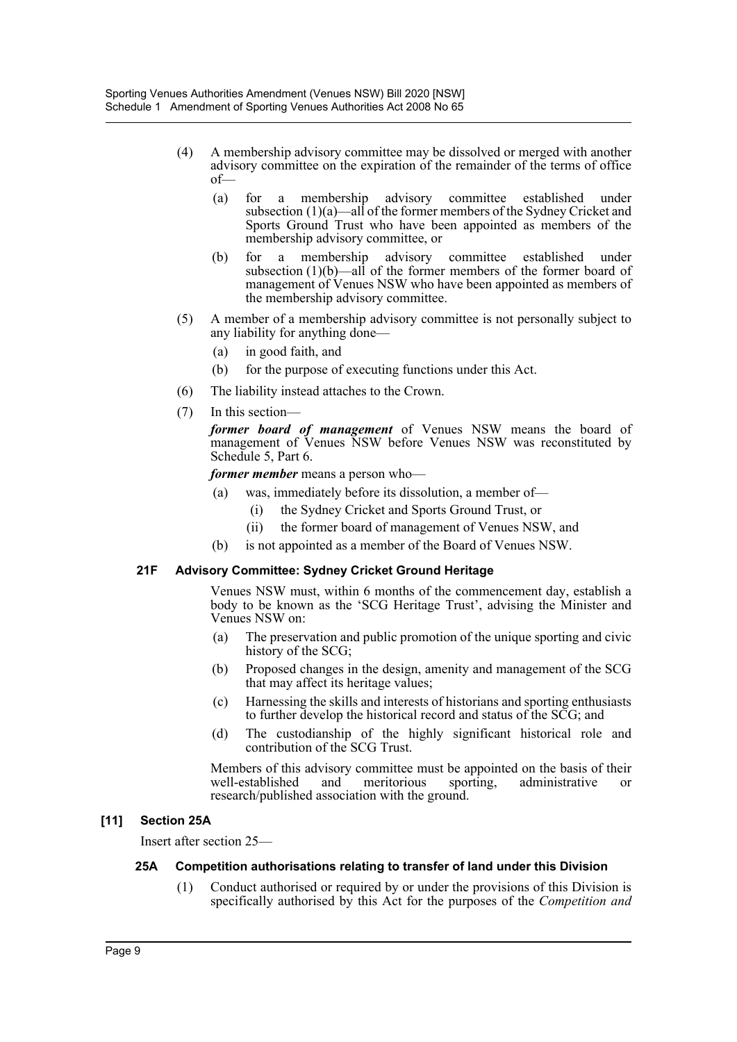- (4) A membership advisory committee may be dissolved or merged with another advisory committee on the expiration of the remainder of the terms of office of—
	- (a) for a membership advisory committee established under subsection (1)(a)—all of the former members of the Sydney Cricket and Sports Ground Trust who have been appointed as members of the membership advisory committee, or
	- (b) for a membership advisory committee established under subsection (1)(b)—all of the former members of the former board of management of Venues NSW who have been appointed as members of the membership advisory committee.
- (5) A member of a membership advisory committee is not personally subject to any liability for anything done—
	- (a) in good faith, and
	- (b) for the purpose of executing functions under this Act.
- (6) The liability instead attaches to the Crown.
- (7) In this section—

*former board of management* of Venues NSW means the board of management of Venues NSW before Venues NSW was reconstituted by Schedule 5, Part 6.

*former member* means a person who—

- (a) was, immediately before its dissolution, a member of—
	- (i) the Sydney Cricket and Sports Ground Trust, or
	- (ii) the former board of management of Venues NSW, and
- (b) is not appointed as a member of the Board of Venues NSW.

#### **21F Advisory Committee: Sydney Cricket Ground Heritage**

Venues NSW must, within 6 months of the commencement day, establish a body to be known as the 'SCG Heritage Trust', advising the Minister and Venues NSW on:

- (a) The preservation and public promotion of the unique sporting and civic history of the SCG;
- (b) Proposed changes in the design, amenity and management of the SCG that may affect its heritage values;
- (c) Harnessing the skills and interests of historians and sporting enthusiasts to further develop the historical record and status of the SCG; and
- (d) The custodianship of the highly significant historical role and contribution of the SCG Trust.

Members of this advisory committee must be appointed on the basis of their well-established and meritorious sporting, administrative or research/published association with the ground.

#### **[11] Section 25A**

Insert after section 25—

#### **25A Competition authorisations relating to transfer of land under this Division**

(1) Conduct authorised or required by or under the provisions of this Division is specifically authorised by this Act for the purposes of the *Competition and*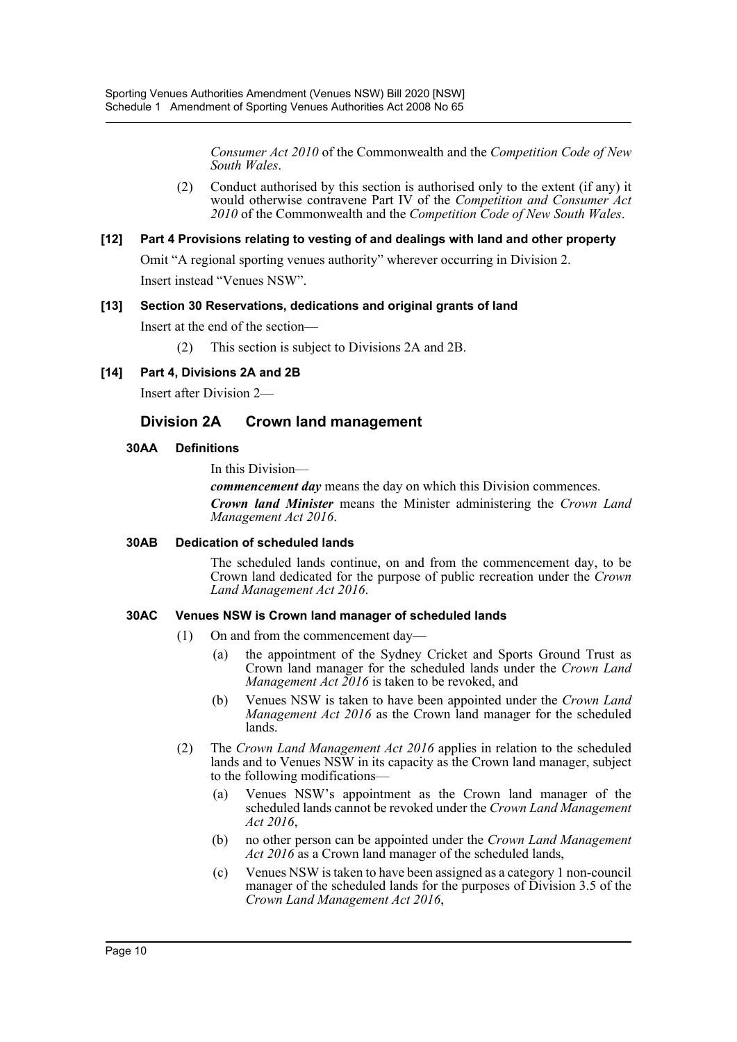*Consumer Act 2010* of the Commonwealth and the *Competition Code of New South Wales*.

(2) Conduct authorised by this section is authorised only to the extent (if any) it would otherwise contravene Part IV of the *Competition and Consumer Act 2010* of the Commonwealth and the *Competition Code of New South Wales*.

#### **[12] Part 4 Provisions relating to vesting of and dealings with land and other property**

Omit "A regional sporting venues authority" wherever occurring in Division 2. Insert instead "Venues NSW".

#### **[13] Section 30 Reservations, dedications and original grants of land**

Insert at the end of the section—

- (2) This section is subject to Divisions 2A and 2B.
- **[14] Part 4, Divisions 2A and 2B**

Insert after Division 2—

## **Division 2A Crown land management**

#### **30AA Definitions**

In this Division—

*commencement day* means the day on which this Division commences. *Crown land Minister* means the Minister administering the *Crown Land Management Act 2016*.

#### **30AB Dedication of scheduled lands**

The scheduled lands continue, on and from the commencement day, to be Crown land dedicated for the purpose of public recreation under the *Crown Land Management Act 2016*.

#### **30AC Venues NSW is Crown land manager of scheduled lands**

- (1) On and from the commencement day—
	- (a) the appointment of the Sydney Cricket and Sports Ground Trust as Crown land manager for the scheduled lands under the *Crown Land Management Act 2016* is taken to be revoked, and
	- (b) Venues NSW is taken to have been appointed under the *Crown Land Management Act 2016* as the Crown land manager for the scheduled lands.
- (2) The *Crown Land Management Act 2016* applies in relation to the scheduled lands and to Venues NSW in its capacity as the Crown land manager, subject to the following modifications—
	- (a) Venues NSW's appointment as the Crown land manager of the scheduled lands cannot be revoked under the *Crown Land Management Act 2016*,
	- (b) no other person can be appointed under the *Crown Land Management Act 2016* as a Crown land manager of the scheduled lands,
	- (c) Venues NSW is taken to have been assigned as a category 1 non-council manager of the scheduled lands for the purposes of Division 3.5 of the *Crown Land Management Act 2016*,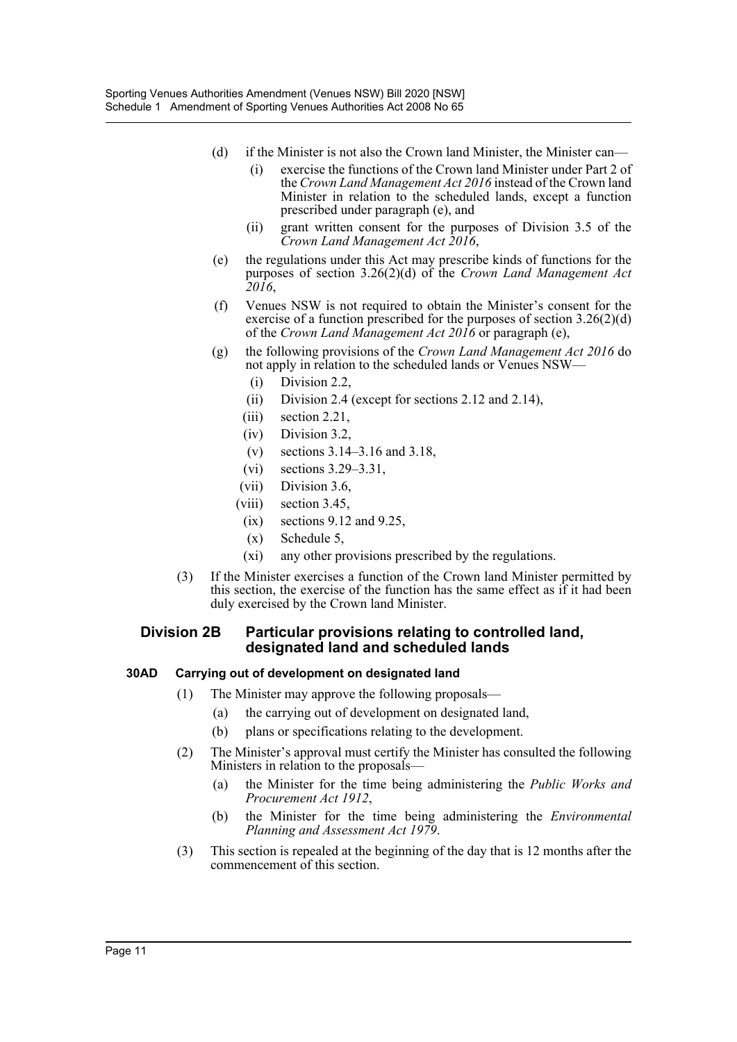- (d) if the Minister is not also the Crown land Minister, the Minister can—
	- (i) exercise the functions of the Crown land Minister under Part 2 of the *Crown Land Management Act 2016* instead of the Crown land Minister in relation to the scheduled lands, except a function prescribed under paragraph (e), and
	- (ii) grant written consent for the purposes of Division 3.5 of the *Crown Land Management Act 2016*,
- (e) the regulations under this Act may prescribe kinds of functions for the purposes of section 3.26(2)(d) of the *Crown Land Management Act 2016*,
- (f) Venues NSW is not required to obtain the Minister's consent for the exercise of a function prescribed for the purposes of section 3.26(2)(d) of the *Crown Land Management Act 2016* or paragraph (e),
- (g) the following provisions of the *Crown Land Management Act 2016* do not apply in relation to the scheduled lands or Venues NSW—
	- (i) Division 2.2,
	- (ii) Division 2.4 (except for sections 2.12 and 2.14),
	- (iii) section 2.21,
	- (iv) Division 3.2,
	- (v) sections 3.14–3.16 and 3.18,
	- (vi) sections 3.29–3.31,
	- (vii) Division 3.6,
	- (viii) section 3.45,
	- $(ix)$  sections 9.12 and 9.25,
	- (x) Schedule 5,
	- (xi) any other provisions prescribed by the regulations.
- (3) If the Minister exercises a function of the Crown land Minister permitted by this section, the exercise of the function has the same effect as if it had been duly exercised by the Crown land Minister.

#### **Division 2B Particular provisions relating to controlled land, designated land and scheduled lands**

#### **30AD Carrying out of development on designated land**

- (1) The Minister may approve the following proposals—
	- (a) the carrying out of development on designated land,
	- (b) plans or specifications relating to the development.
- (2) The Minister's approval must certify the Minister has consulted the following Ministers in relation to the proposals—
	- (a) the Minister for the time being administering the *Public Works and Procurement Act 1912*,
	- (b) the Minister for the time being administering the *Environmental Planning and Assessment Act 1979*.
- (3) This section is repealed at the beginning of the day that is 12 months after the commencement of this section.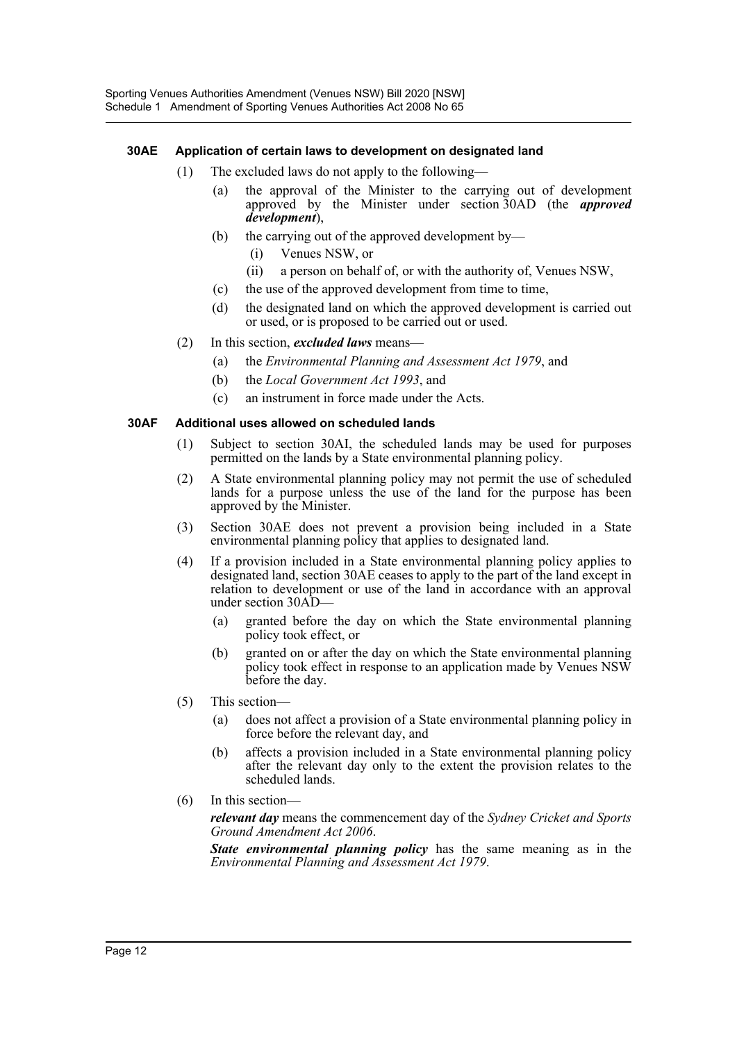#### **30AE Application of certain laws to development on designated land**

- (1) The excluded laws do not apply to the following—
	- (a) the approval of the Minister to the carrying out of development approved by the Minister under section 30AD (the *approved development*),
	- (b) the carrying out of the approved development by—
		- (i) Venues NSW, or
		- (ii) a person on behalf of, or with the authority of, Venues NSW,
	- (c) the use of the approved development from time to time,
	- (d) the designated land on which the approved development is carried out or used, or is proposed to be carried out or used.
- (2) In this section, *excluded laws* means—
	- (a) the *Environmental Planning and Assessment Act 1979*, and
	- (b) the *Local Government Act 1993*, and
	- (c) an instrument in force made under the Acts.

#### **30AF Additional uses allowed on scheduled lands**

- (1) Subject to section 30AI, the scheduled lands may be used for purposes permitted on the lands by a State environmental planning policy.
- (2) A State environmental planning policy may not permit the use of scheduled lands for a purpose unless the use of the land for the purpose has been approved by the Minister.
- (3) Section 30AE does not prevent a provision being included in a State environmental planning policy that applies to designated land.
- (4) If a provision included in a State environmental planning policy applies to designated land, section 30AE ceases to apply to the part of the land except in relation to development or use of the land in accordance with an approval under section 30AD—
	- (a) granted before the day on which the State environmental planning policy took effect, or
	- (b) granted on or after the day on which the State environmental planning policy took effect in response to an application made by Venues NSW before the day.
- (5) This section—
	- (a) does not affect a provision of a State environmental planning policy in force before the relevant day, and
	- (b) affects a provision included in a State environmental planning policy after the relevant day only to the extent the provision relates to the scheduled lands.
- (6) In this section—

*relevant day* means the commencement day of the *Sydney Cricket and Sports Ground Amendment Act 2006*.

*State environmental planning policy* has the same meaning as in the *Environmental Planning and Assessment Act 1979*.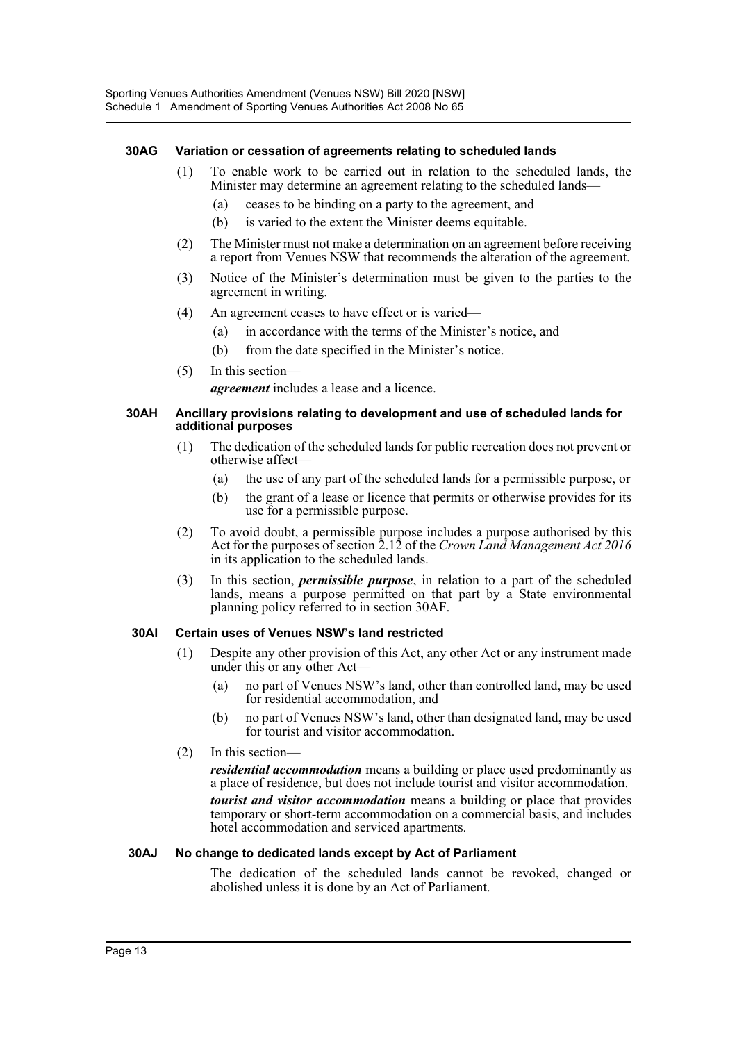#### **30AG Variation or cessation of agreements relating to scheduled lands**

- (1) To enable work to be carried out in relation to the scheduled lands, the Minister may determine an agreement relating to the scheduled lands—
	- (a) ceases to be binding on a party to the agreement, and
	- (b) is varied to the extent the Minister deems equitable.
- (2) The Minister must not make a determination on an agreement before receiving a report from Venues NSW that recommends the alteration of the agreement.
- (3) Notice of the Minister's determination must be given to the parties to the agreement in writing.
- (4) An agreement ceases to have effect or is varied—
	- (a) in accordance with the terms of the Minister's notice, and
	- (b) from the date specified in the Minister's notice.
- (5) In this section *agreement* includes a lease and a licence.

#### **30AH Ancillary provisions relating to development and use of scheduled lands for additional purposes**

- (1) The dedication of the scheduled lands for public recreation does not prevent or otherwise affect—
	- (a) the use of any part of the scheduled lands for a permissible purpose, or
	- (b) the grant of a lease or licence that permits or otherwise provides for its use for a permissible purpose.
- (2) To avoid doubt, a permissible purpose includes a purpose authorised by this Act for the purposes of section 2.12 of the *Crown Land Management Act 2016* in its application to the scheduled lands.
- (3) In this section, *permissible purpose*, in relation to a part of the scheduled lands, means a purpose permitted on that part by a State environmental planning policy referred to in section 30AF.

#### **30AI Certain uses of Venues NSW's land restricted**

- (1) Despite any other provision of this Act, any other Act or any instrument made under this or any other Act—
	- (a) no part of Venues NSW's land, other than controlled land, may be used for residential accommodation, and
	- (b) no part of Venues NSW's land, other than designated land, may be used for tourist and visitor accommodation.
- (2) In this section—

*residential accommodation* means a building or place used predominantly as a place of residence, but does not include tourist and visitor accommodation.

*tourist and visitor accommodation* means a building or place that provides temporary or short-term accommodation on a commercial basis, and includes hotel accommodation and serviced apartments.

#### **30AJ No change to dedicated lands except by Act of Parliament**

The dedication of the scheduled lands cannot be revoked, changed or abolished unless it is done by an Act of Parliament.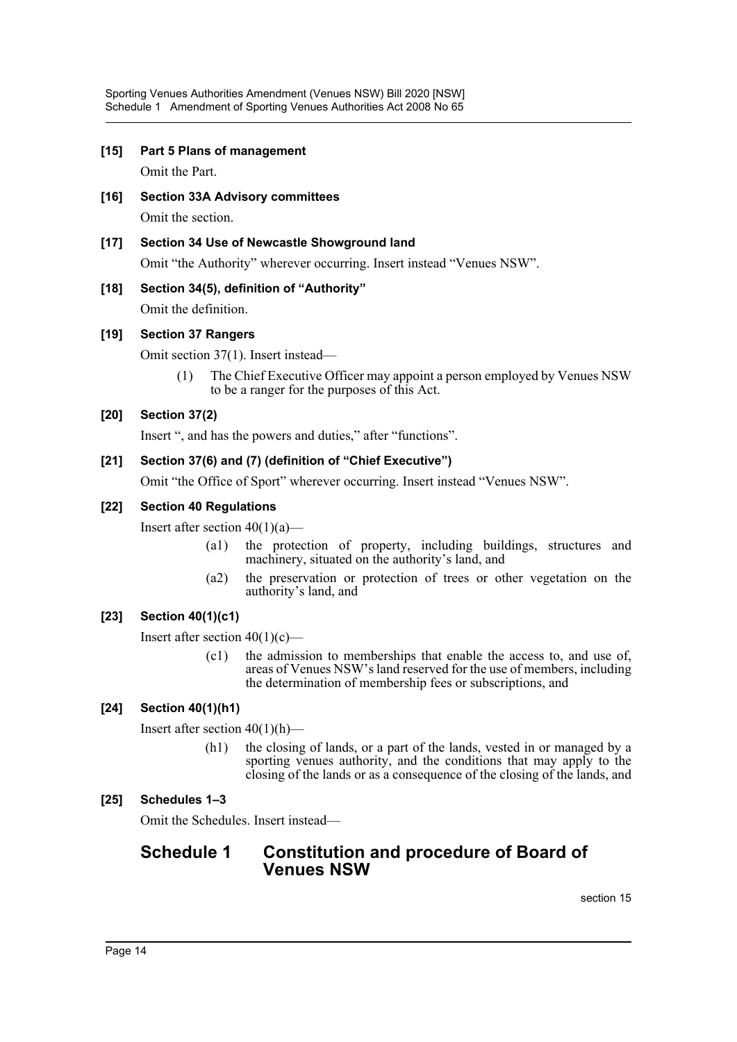**[15] Part 5 Plans of management**

Omit the Part.

- **[16] Section 33A Advisory committees** Omit the section.
- **[17] Section 34 Use of Newcastle Showground land** Omit "the Authority" wherever occurring. Insert instead "Venues NSW".
- **[18] Section 34(5), definition of "Authority"** Omit the definition.

## **[19] Section 37 Rangers**

Omit section 37(1). Insert instead—

(1) The Chief Executive Officer may appoint a person employed by Venues NSW to be a ranger for the purposes of this Act.

## **[20] Section 37(2)**

Insert ", and has the powers and duties," after "functions".

## **[21] Section 37(6) and (7) (definition of "Chief Executive")**

Omit "the Office of Sport" wherever occurring. Insert instead "Venues NSW".

## **[22] Section 40 Regulations**

Insert after section  $40(1)(a)$ —

- (a1) the protection of property, including buildings, structures and machinery, situated on the authority's land, and
- (a2) the preservation or protection of trees or other vegetation on the authority's land, and

## **[23] Section 40(1)(c1)**

Insert after section  $40(1)(c)$ —

(c1) the admission to memberships that enable the access to, and use of, areas of Venues NSW's land reserved for the use of members, including the determination of membership fees or subscriptions, and

## **[24] Section 40(1)(h1)**

Insert after section  $40(1)(h)$ —

(h1) the closing of lands, or a part of the lands, vested in or managed by a sporting venues authority, and the conditions that may apply to the closing of the lands or as a consequence of the closing of the lands, and

## **[25] Schedules 1–3**

Omit the Schedules. Insert instead—

## **Schedule 1 Constitution and procedure of Board of Venues NSW**

section 15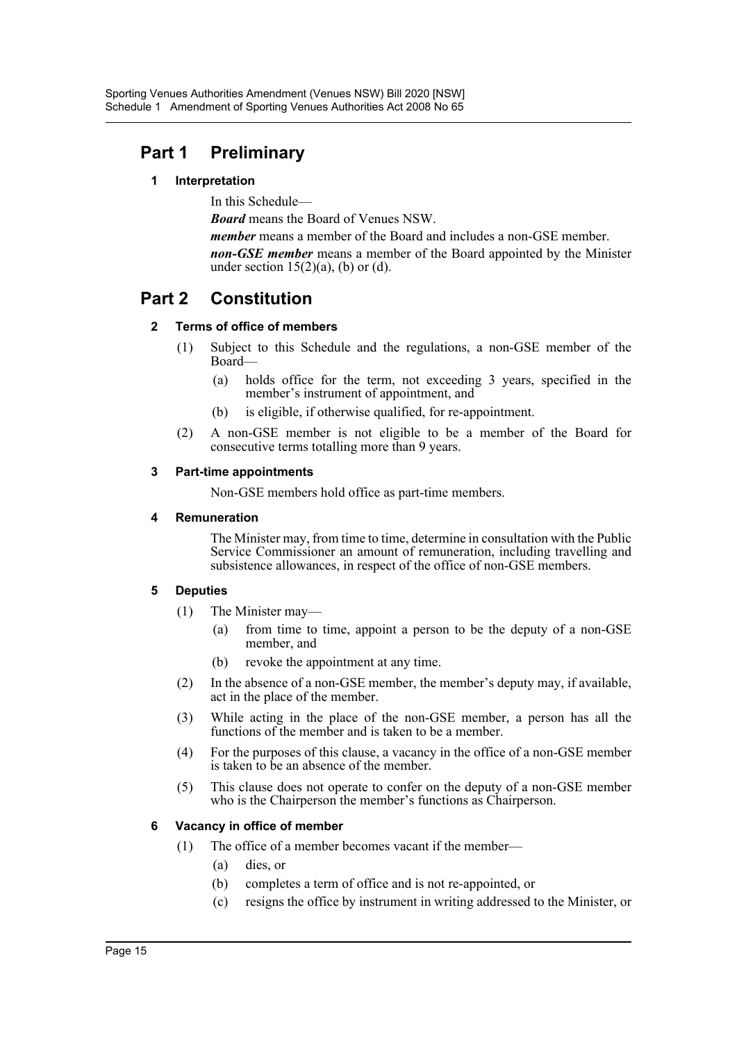## **Part 1 Preliminary**

#### **1 Interpretation**

In this Schedule—

*Board* means the Board of Venues NSW.

*member* means a member of the Board and includes a non-GSE member. *non-GSE member* means a member of the Board appointed by the Minister under section  $15(2)(a)$ , (b) or (d).

## **Part 2 Constitution**

#### **2 Terms of office of members**

- (1) Subject to this Schedule and the regulations, a non-GSE member of the Board—
	- (a) holds office for the term, not exceeding 3 years, specified in the member's instrument of appointment, and
	- (b) is eligible, if otherwise qualified, for re-appointment.
- (2) A non-GSE member is not eligible to be a member of the Board for consecutive terms totalling more than 9 years.

#### **3 Part-time appointments**

Non-GSE members hold office as part-time members.

#### **4 Remuneration**

The Minister may, from time to time, determine in consultation with the Public Service Commissioner an amount of remuneration, including travelling and subsistence allowances, in respect of the office of non-GSE members.

## **5 Deputies**

- (1) The Minister may—
	- (a) from time to time, appoint a person to be the deputy of a non-GSE member, and
	- (b) revoke the appointment at any time.
- (2) In the absence of a non-GSE member, the member's deputy may, if available, act in the place of the member.
- (3) While acting in the place of the non-GSE member, a person has all the functions of the member and is taken to be a member.
- (4) For the purposes of this clause, a vacancy in the office of a non-GSE member is taken to be an absence of the member.
- (5) This clause does not operate to confer on the deputy of a non-GSE member who is the Chairperson the member's functions as Chairperson.

## **6 Vacancy in office of member**

- (1) The office of a member becomes vacant if the member—
	- (a) dies, or
	- (b) completes a term of office and is not re-appointed, or
	- (c) resigns the office by instrument in writing addressed to the Minister, or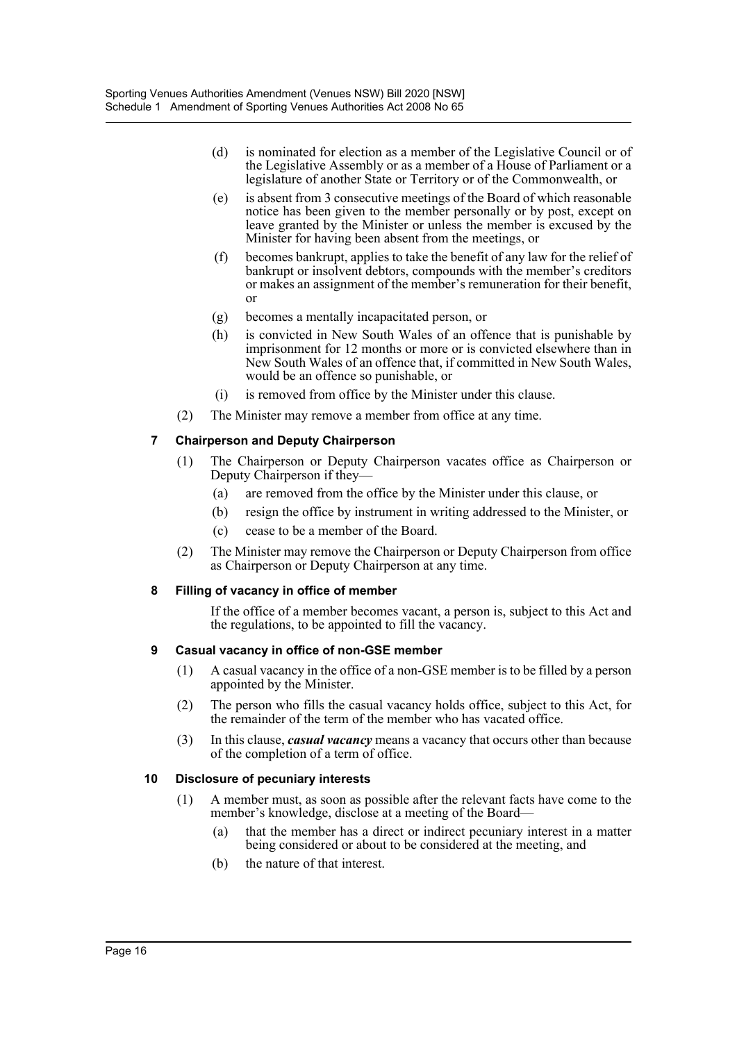- (d) is nominated for election as a member of the Legislative Council or of the Legislative Assembly or as a member of a House of Parliament or a legislature of another State or Territory or of the Commonwealth, or
- (e) is absent from 3 consecutive meetings of the Board of which reasonable notice has been given to the member personally or by post, except on leave granted by the Minister or unless the member is excused by the Minister for having been absent from the meetings, or
- (f) becomes bankrupt, applies to take the benefit of any law for the relief of bankrupt or insolvent debtors, compounds with the member's creditors or makes an assignment of the member's remuneration for their benefit, or
- (g) becomes a mentally incapacitated person, or
- (h) is convicted in New South Wales of an offence that is punishable by imprisonment for 12 months or more or is convicted elsewhere than in New South Wales of an offence that, if committed in New South Wales, would be an offence so punishable, or
- (i) is removed from office by the Minister under this clause.
- (2) The Minister may remove a member from office at any time.

## **7 Chairperson and Deputy Chairperson**

- (1) The Chairperson or Deputy Chairperson vacates office as Chairperson or Deputy Chairperson if they—
	- (a) are removed from the office by the Minister under this clause, or
	- (b) resign the office by instrument in writing addressed to the Minister, or
	- (c) cease to be a member of the Board.
- (2) The Minister may remove the Chairperson or Deputy Chairperson from office as Chairperson or Deputy Chairperson at any time.

## **8 Filling of vacancy in office of member**

If the office of a member becomes vacant, a person is, subject to this Act and the regulations, to be appointed to fill the vacancy.

## **9 Casual vacancy in office of non-GSE member**

- (1) A casual vacancy in the office of a non-GSE member is to be filled by a person appointed by the Minister.
- (2) The person who fills the casual vacancy holds office, subject to this Act, for the remainder of the term of the member who has vacated office.
- (3) In this clause, *casual vacancy* means a vacancy that occurs other than because of the completion of a term of office.

## **10 Disclosure of pecuniary interests**

- (1) A member must, as soon as possible after the relevant facts have come to the member's knowledge, disclose at a meeting of the Board—
	- (a) that the member has a direct or indirect pecuniary interest in a matter being considered or about to be considered at the meeting, and
	- (b) the nature of that interest.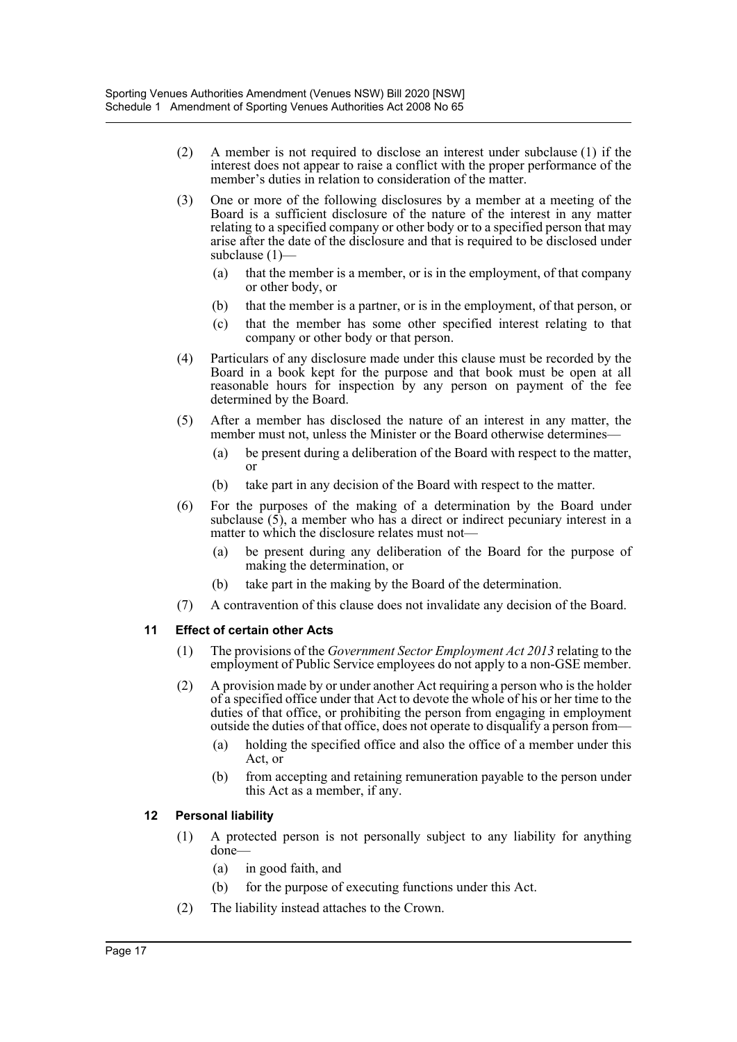- (2) A member is not required to disclose an interest under subclause (1) if the interest does not appear to raise a conflict with the proper performance of the member's duties in relation to consideration of the matter.
- (3) One or more of the following disclosures by a member at a meeting of the Board is a sufficient disclosure of the nature of the interest in any matter relating to a specified company or other body or to a specified person that may arise after the date of the disclosure and that is required to be disclosed under subclause (1)—
	- (a) that the member is a member, or is in the employment, of that company or other body, or
	- (b) that the member is a partner, or is in the employment, of that person, or
	- (c) that the member has some other specified interest relating to that company or other body or that person.
- (4) Particulars of any disclosure made under this clause must be recorded by the Board in a book kept for the purpose and that book must be open at all reasonable hours for inspection by any person on payment of the fee determined by the Board.
- (5) After a member has disclosed the nature of an interest in any matter, the member must not, unless the Minister or the Board otherwise determines—
	- (a) be present during a deliberation of the Board with respect to the matter, or
	- (b) take part in any decision of the Board with respect to the matter.
- (6) For the purposes of the making of a determination by the Board under subclause (5), a member who has a direct or indirect pecuniary interest in a matter to which the disclosure relates must not—
	- (a) be present during any deliberation of the Board for the purpose of making the determination, or
	- (b) take part in the making by the Board of the determination.
- (7) A contravention of this clause does not invalidate any decision of the Board.

#### **11 Effect of certain other Acts**

- (1) The provisions of the *Government Sector Employment Act 2013* relating to the employment of Public Service employees do not apply to a non-GSE member.
- (2) A provision made by or under another Act requiring a person who is the holder of a specified office under that Act to devote the whole of his or her time to the duties of that office, or prohibiting the person from engaging in employment outside the duties of that office, does not operate to disqualify a person from—
	- (a) holding the specified office and also the office of a member under this Act, or
	- (b) from accepting and retaining remuneration payable to the person under this Act as a member, if any.

#### **12 Personal liability**

- (1) A protected person is not personally subject to any liability for anything done—
	- (a) in good faith, and
	- (b) for the purpose of executing functions under this Act.
- (2) The liability instead attaches to the Crown.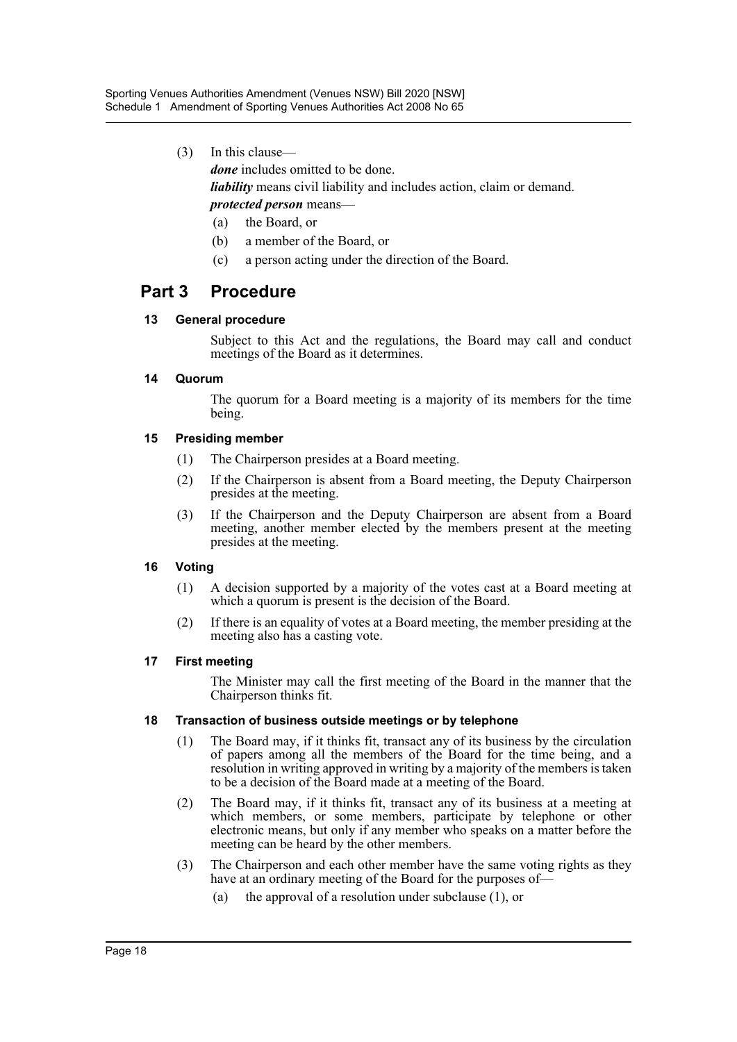(3) In this clause—

*done* includes omitted to be done.

*liability* means civil liability and includes action, claim or demand.

## *protected person* means—

- (a) the Board, or
- (b) a member of the Board, or
- (c) a person acting under the direction of the Board.

## **Part 3 Procedure**

## **13 General procedure**

Subject to this Act and the regulations, the Board may call and conduct meetings of the Board as it determines.

## **14 Quorum**

The quorum for a Board meeting is a majority of its members for the time being.

## **15 Presiding member**

- (1) The Chairperson presides at a Board meeting.
- (2) If the Chairperson is absent from a Board meeting, the Deputy Chairperson presides at the meeting.
- (3) If the Chairperson and the Deputy Chairperson are absent from a Board meeting, another member elected by the members present at the meeting presides at the meeting.

## **16 Voting**

- (1) A decision supported by a majority of the votes cast at a Board meeting at which a quorum is present is the decision of the Board.
- (2) If there is an equality of votes at a Board meeting, the member presiding at the meeting also has a casting vote.

## **17 First meeting**

The Minister may call the first meeting of the Board in the manner that the Chairperson thinks fit.

## **18 Transaction of business outside meetings or by telephone**

- (1) The Board may, if it thinks fit, transact any of its business by the circulation of papers among all the members of the Board for the time being, and a resolution in writing approved in writing by a majority of the members is taken to be a decision of the Board made at a meeting of the Board.
- (2) The Board may, if it thinks fit, transact any of its business at a meeting at which members, or some members, participate by telephone or other electronic means, but only if any member who speaks on a matter before the meeting can be heard by the other members.
- (3) The Chairperson and each other member have the same voting rights as they have at an ordinary meeting of the Board for the purposes of—
	- (a) the approval of a resolution under subclause (1), or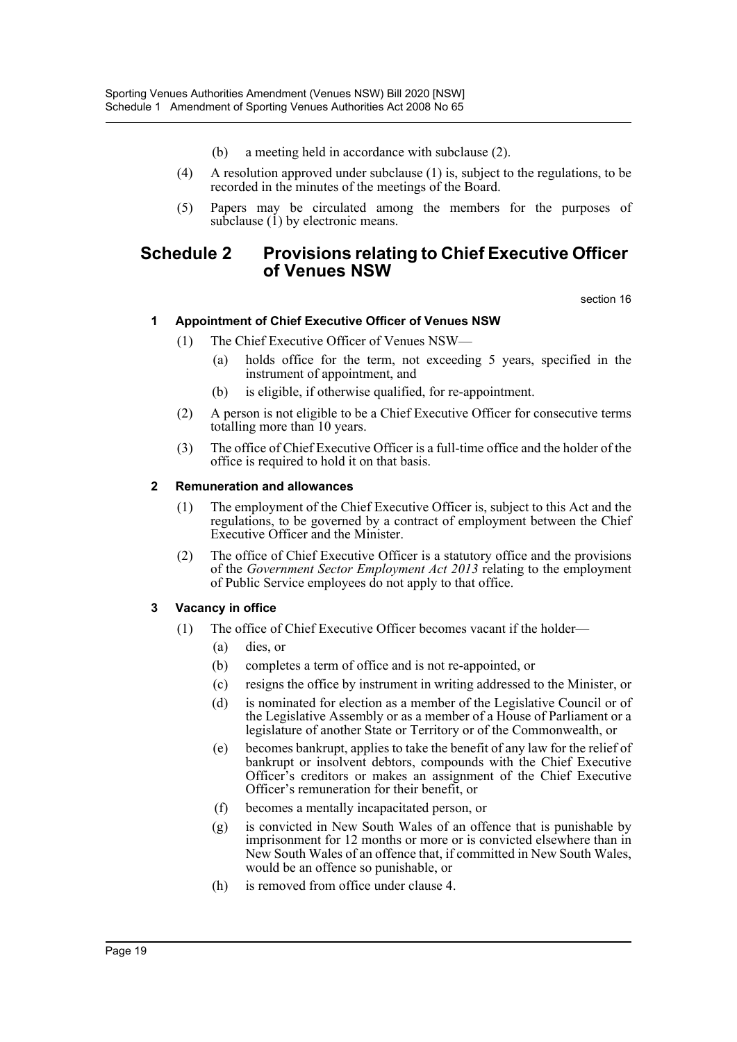- (b) a meeting held in accordance with subclause (2).
- (4) A resolution approved under subclause (1) is, subject to the regulations, to be recorded in the minutes of the meetings of the Board.
- (5) Papers may be circulated among the members for the purposes of subclause  $(1)$  by electronic means.

## **Schedule 2 Provisions relating to Chief Executive Officer of Venues NSW**

section 16

## **1 Appointment of Chief Executive Officer of Venues NSW**

- (1) The Chief Executive Officer of Venues NSW—
	- (a) holds office for the term, not exceeding 5 years, specified in the instrument of appointment, and
	- (b) is eligible, if otherwise qualified, for re-appointment.
- (2) A person is not eligible to be a Chief Executive Officer for consecutive terms totalling more than 10 years.
- (3) The office of Chief Executive Officer is a full-time office and the holder of the office is required to hold it on that basis.

#### **2 Remuneration and allowances**

- (1) The employment of the Chief Executive Officer is, subject to this Act and the regulations, to be governed by a contract of employment between the Chief Executive Officer and the Minister.
- (2) The office of Chief Executive Officer is a statutory office and the provisions of the *Government Sector Employment Act 2013* relating to the employment of Public Service employees do not apply to that office.

## **3 Vacancy in office**

- (1) The office of Chief Executive Officer becomes vacant if the holder—
	- (a) dies, or
	- (b) completes a term of office and is not re-appointed, or
	- (c) resigns the office by instrument in writing addressed to the Minister, or
	- (d) is nominated for election as a member of the Legislative Council or of the Legislative Assembly or as a member of a House of Parliament or a legislature of another State or Territory or of the Commonwealth, or
	- (e) becomes bankrupt, applies to take the benefit of any law for the relief of bankrupt or insolvent debtors, compounds with the Chief Executive Officer's creditors or makes an assignment of the Chief Executive Officer's remuneration for their benefit, or
	- (f) becomes a mentally incapacitated person, or
	- (g) is convicted in New South Wales of an offence that is punishable by imprisonment for 12 months or more or is convicted elsewhere than in New South Wales of an offence that, if committed in New South Wales, would be an offence so punishable, or
	- (h) is removed from office under clause 4.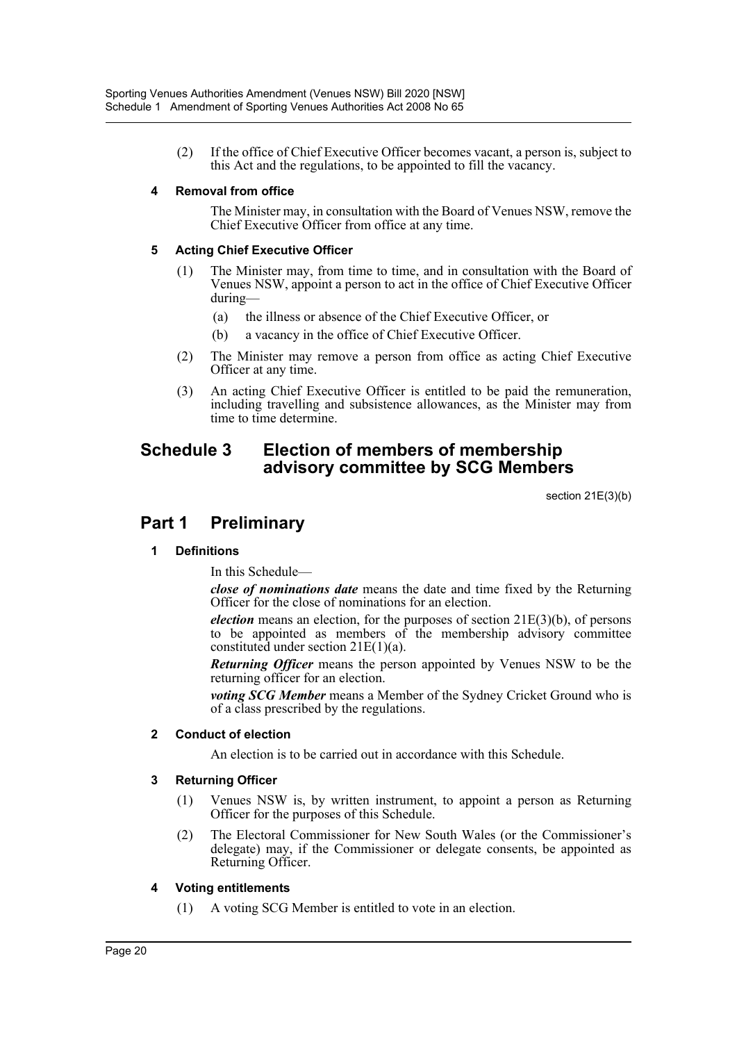(2) If the office of Chief Executive Officer becomes vacant, a person is, subject to this Act and the regulations, to be appointed to fill the vacancy.

#### **4 Removal from office**

The Minister may, in consultation with the Board of Venues NSW, remove the Chief Executive Officer from office at any time.

#### **5 Acting Chief Executive Officer**

- (1) The Minister may, from time to time, and in consultation with the Board of Venues NSW, appoint a person to act in the office of Chief Executive Officer during—
	- (a) the illness or absence of the Chief Executive Officer, or
	- (b) a vacancy in the office of Chief Executive Officer.
- (2) The Minister may remove a person from office as acting Chief Executive Officer at any time.
- (3) An acting Chief Executive Officer is entitled to be paid the remuneration, including travelling and subsistence allowances, as the Minister may from time to time determine.

## **Schedule 3 Election of members of membership advisory committee by SCG Members**

section 21E(3)(b)

## **Part 1 Preliminary**

## **1 Definitions**

In this Schedule—

*close of nominations date* means the date and time fixed by the Returning Officer for the close of nominations for an election.

*election* means an election, for the purposes of section 21E(3)(b), of persons to be appointed as members of the membership advisory committee constituted under section 21E(1)(a).

*Returning Officer* means the person appointed by Venues NSW to be the returning officer for an election.

*voting SCG Member* means a Member of the Sydney Cricket Ground who is of a class prescribed by the regulations.

#### **2 Conduct of election**

An election is to be carried out in accordance with this Schedule.

#### **3 Returning Officer**

- (1) Venues NSW is, by written instrument, to appoint a person as Returning Officer for the purposes of this Schedule.
- (2) The Electoral Commissioner for New South Wales (or the Commissioner's delegate) may, if the Commissioner or delegate consents, be appointed as Returning Officer.

#### **4 Voting entitlements**

(1) A voting SCG Member is entitled to vote in an election.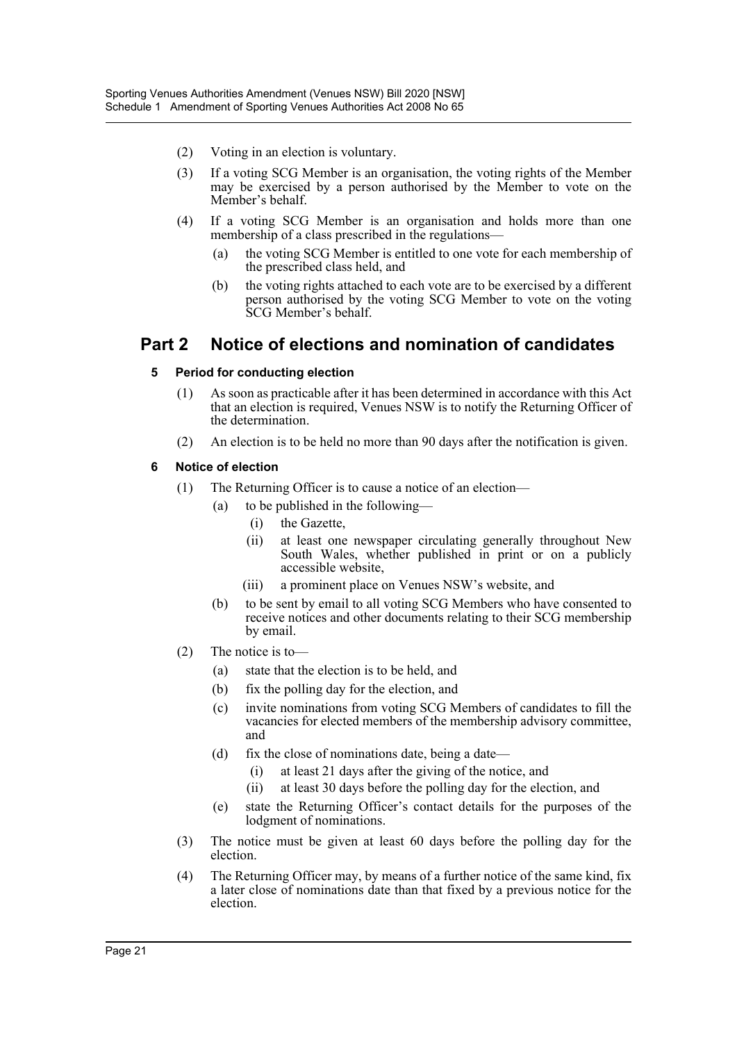- (2) Voting in an election is voluntary.
- (3) If a voting SCG Member is an organisation, the voting rights of the Member may be exercised by a person authorised by the Member to vote on the Member's behalf.
- (4) If a voting SCG Member is an organisation and holds more than one membership of a class prescribed in the regulations—
	- (a) the voting SCG Member is entitled to one vote for each membership of the prescribed class held, and
	- (b) the voting rights attached to each vote are to be exercised by a different person authorised by the voting SCG Member to vote on the voting SCG Member's behalf.

## **Part 2 Notice of elections and nomination of candidates**

#### **5 Period for conducting election**

- (1) As soon as practicable after it has been determined in accordance with this Act that an election is required, Venues NSW is to notify the Returning Officer of the determination.
- (2) An election is to be held no more than 90 days after the notification is given.

#### **6 Notice of election**

- (1) The Returning Officer is to cause a notice of an election—
	- (a) to be published in the following—
		- (i) the Gazette,
		- (ii) at least one newspaper circulating generally throughout New South Wales, whether published in print or on a publicly accessible website,
		- (iii) a prominent place on Venues NSW's website, and
	- (b) to be sent by email to all voting SCG Members who have consented to receive notices and other documents relating to their SCG membership by email.
- (2) The notice is to—
	- (a) state that the election is to be held, and
	- (b) fix the polling day for the election, and
	- (c) invite nominations from voting SCG Members of candidates to fill the vacancies for elected members of the membership advisory committee, and
	- (d) fix the close of nominations date, being a date—
		- (i) at least 21 days after the giving of the notice, and
		- (ii) at least 30 days before the polling day for the election, and
	- (e) state the Returning Officer's contact details for the purposes of the lodgment of nominations.
- (3) The notice must be given at least 60 days before the polling day for the election.
- (4) The Returning Officer may, by means of a further notice of the same kind, fix a later close of nominations date than that fixed by a previous notice for the election.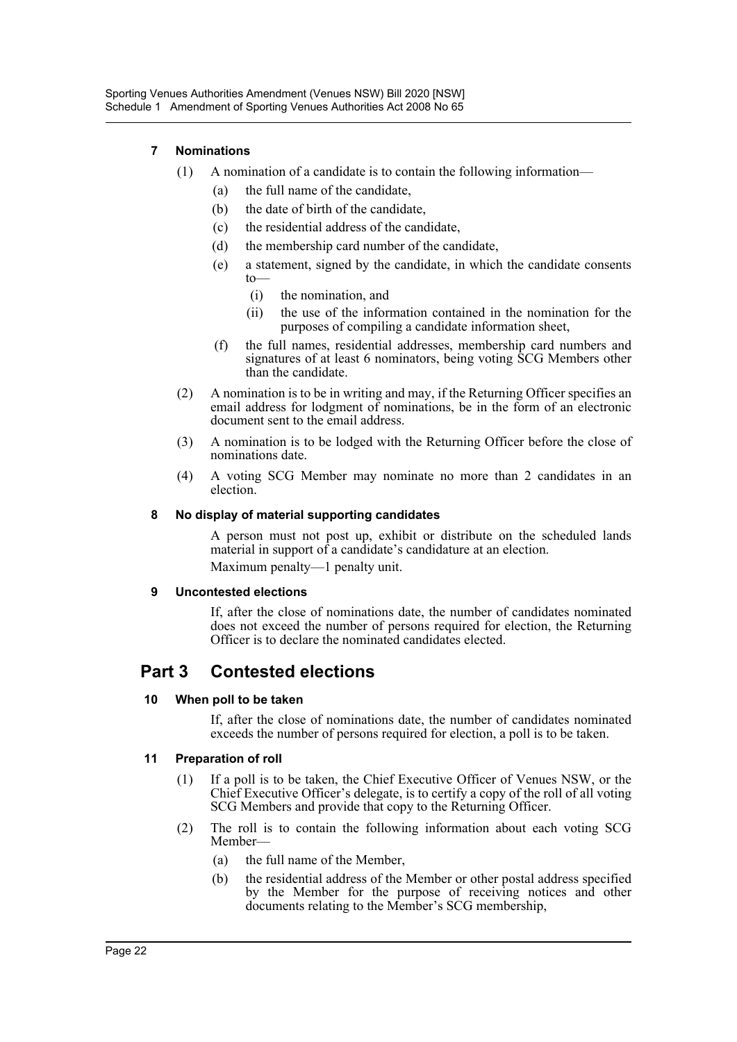## **7 Nominations**

- (1) A nomination of a candidate is to contain the following information—
	- (a) the full name of the candidate,
	- (b) the date of birth of the candidate,
	- (c) the residential address of the candidate,
	- (d) the membership card number of the candidate,
	- (e) a statement, signed by the candidate, in which the candidate consents to—
		- (i) the nomination, and
		- (ii) the use of the information contained in the nomination for the purposes of compiling a candidate information sheet,
	- (f) the full names, residential addresses, membership card numbers and signatures of at least 6 nominators, being voting SCG Members other than the candidate.
- (2) A nomination is to be in writing and may, if the Returning Officer specifies an email address for lodgment of nominations, be in the form of an electronic document sent to the email address.
- (3) A nomination is to be lodged with the Returning Officer before the close of nominations date.
- (4) A voting SCG Member may nominate no more than 2 candidates in an election.

#### **8 No display of material supporting candidates**

A person must not post up, exhibit or distribute on the scheduled lands material in support of a candidate's candidature at an election. Maximum penalty—1 penalty unit.

#### **9 Uncontested elections**

If, after the close of nominations date, the number of candidates nominated does not exceed the number of persons required for election, the Returning Officer is to declare the nominated candidates elected.

## **Part 3 Contested elections**

## **10 When poll to be taken**

If, after the close of nominations date, the number of candidates nominated exceeds the number of persons required for election, a poll is to be taken.

## **11 Preparation of roll**

- (1) If a poll is to be taken, the Chief Executive Officer of Venues NSW, or the Chief Executive Officer's delegate, is to certify a copy of the roll of all voting SCG Members and provide that copy to the Returning Officer.
- (2) The roll is to contain the following information about each voting SCG Member—
	- (a) the full name of the Member,
	- (b) the residential address of the Member or other postal address specified by the Member for the purpose of receiving notices and other documents relating to the Member's SCG membership,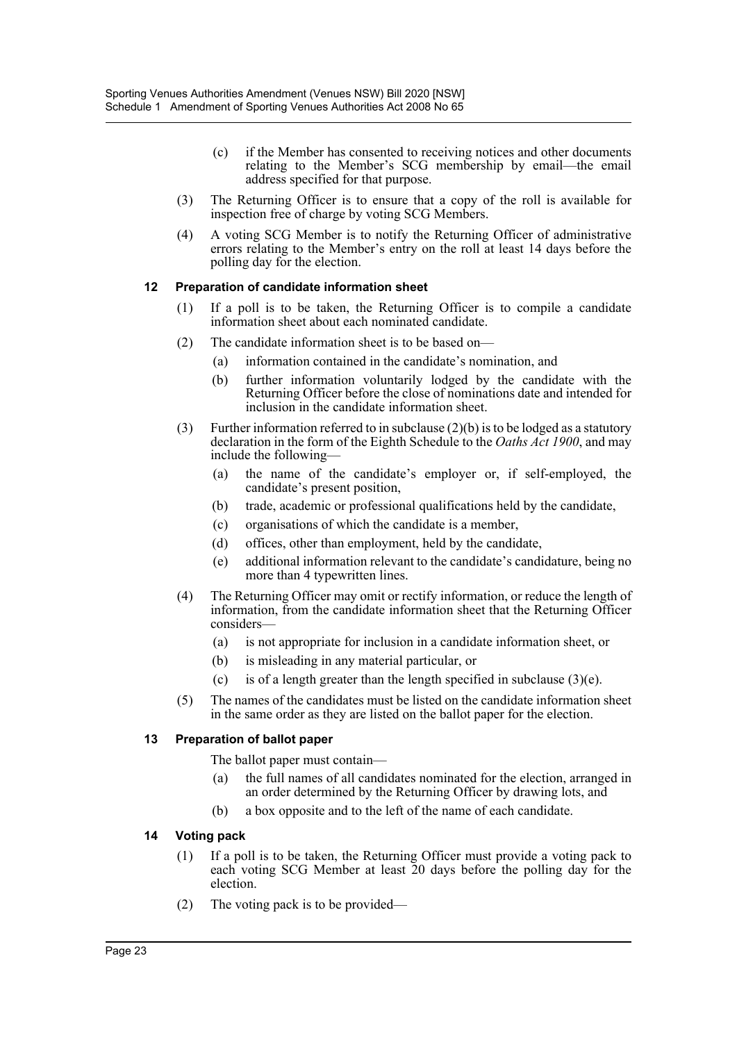- (c) if the Member has consented to receiving notices and other documents relating to the Member's SCG membership by email—the email address specified for that purpose.
- (3) The Returning Officer is to ensure that a copy of the roll is available for inspection free of charge by voting SCG Members.
- (4) A voting SCG Member is to notify the Returning Officer of administrative errors relating to the Member's entry on the roll at least 14 days before the polling day for the election.

#### **12 Preparation of candidate information sheet**

- (1) If a poll is to be taken, the Returning Officer is to compile a candidate information sheet about each nominated candidate.
- (2) The candidate information sheet is to be based on—
	- (a) information contained in the candidate's nomination, and
	- (b) further information voluntarily lodged by the candidate with the Returning Officer before the close of nominations date and intended for inclusion in the candidate information sheet.
- (3) Further information referred to in subclause  $(2)(b)$  is to be lodged as a statutory declaration in the form of the Eighth Schedule to the *Oaths Act 1900*, and may include the following—
	- (a) the name of the candidate's employer or, if self-employed, the candidate's present position,
	- (b) trade, academic or professional qualifications held by the candidate,
	- (c) organisations of which the candidate is a member,
	- (d) offices, other than employment, held by the candidate,
	- (e) additional information relevant to the candidate's candidature, being no more than 4 typewritten lines.
- (4) The Returning Officer may omit or rectify information, or reduce the length of information, from the candidate information sheet that the Returning Officer considers—
	- (a) is not appropriate for inclusion in a candidate information sheet, or
	- (b) is misleading in any material particular, or
	- (c) is of a length greater than the length specified in subclause  $(3)(e)$ .
- (5) The names of the candidates must be listed on the candidate information sheet in the same order as they are listed on the ballot paper for the election.

#### **13 Preparation of ballot paper**

The ballot paper must contain—

- (a) the full names of all candidates nominated for the election, arranged in an order determined by the Returning Officer by drawing lots, and
- (b) a box opposite and to the left of the name of each candidate.

#### **14 Voting pack**

- (1) If a poll is to be taken, the Returning Officer must provide a voting pack to each voting SCG Member at least 20 days before the polling day for the election.
- (2) The voting pack is to be provided—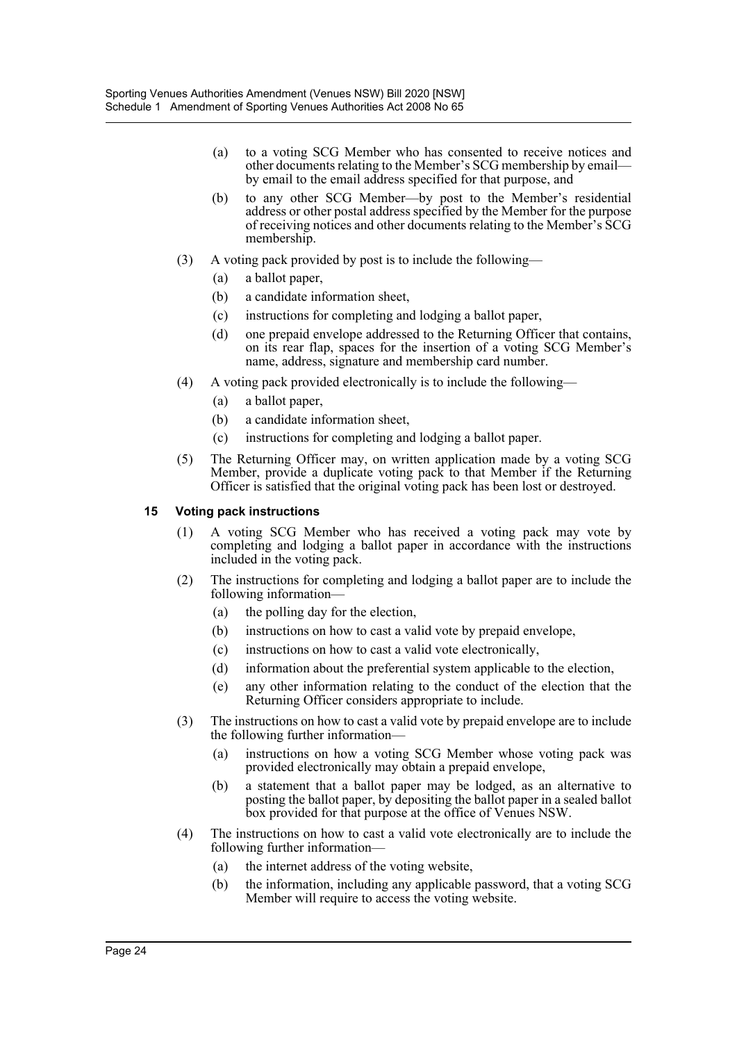- (a) to a voting SCG Member who has consented to receive notices and other documents relating to the Member's SCG membership by email by email to the email address specified for that purpose, and
- (b) to any other SCG Member—by post to the Member's residential address or other postal address specified by the Member for the purpose of receiving notices and other documents relating to the Member's SCG membership.
- (3) A voting pack provided by post is to include the following—
	- (a) a ballot paper,
	- (b) a candidate information sheet,
	- (c) instructions for completing and lodging a ballot paper,
	- (d) one prepaid envelope addressed to the Returning Officer that contains, on its rear flap, spaces for the insertion of a voting SCG Member's name, address, signature and membership card number.
- (4) A voting pack provided electronically is to include the following—
	- (a) a ballot paper,
	- (b) a candidate information sheet,
	- (c) instructions for completing and lodging a ballot paper.
- (5) The Returning Officer may, on written application made by a voting SCG Member, provide a duplicate voting pack to that Member if the Returning Officer is satisfied that the original voting pack has been lost or destroyed.

#### **15 Voting pack instructions**

- (1) A voting SCG Member who has received a voting pack may vote by completing and lodging a ballot paper in accordance with the instructions included in the voting pack.
- (2) The instructions for completing and lodging a ballot paper are to include the following information—
	- (a) the polling day for the election,
	- (b) instructions on how to cast a valid vote by prepaid envelope,
	- (c) instructions on how to cast a valid vote electronically,
	- (d) information about the preferential system applicable to the election,
	- (e) any other information relating to the conduct of the election that the Returning Officer considers appropriate to include.
- (3) The instructions on how to cast a valid vote by prepaid envelope are to include the following further information—
	- (a) instructions on how a voting SCG Member whose voting pack was provided electronically may obtain a prepaid envelope,
	- (b) a statement that a ballot paper may be lodged, as an alternative to posting the ballot paper, by depositing the ballot paper in a sealed ballot box provided for that purpose at the office of Venues NSW.
- (4) The instructions on how to cast a valid vote electronically are to include the following further information—
	- (a) the internet address of the voting website,
	- (b) the information, including any applicable password, that a voting SCG Member will require to access the voting website.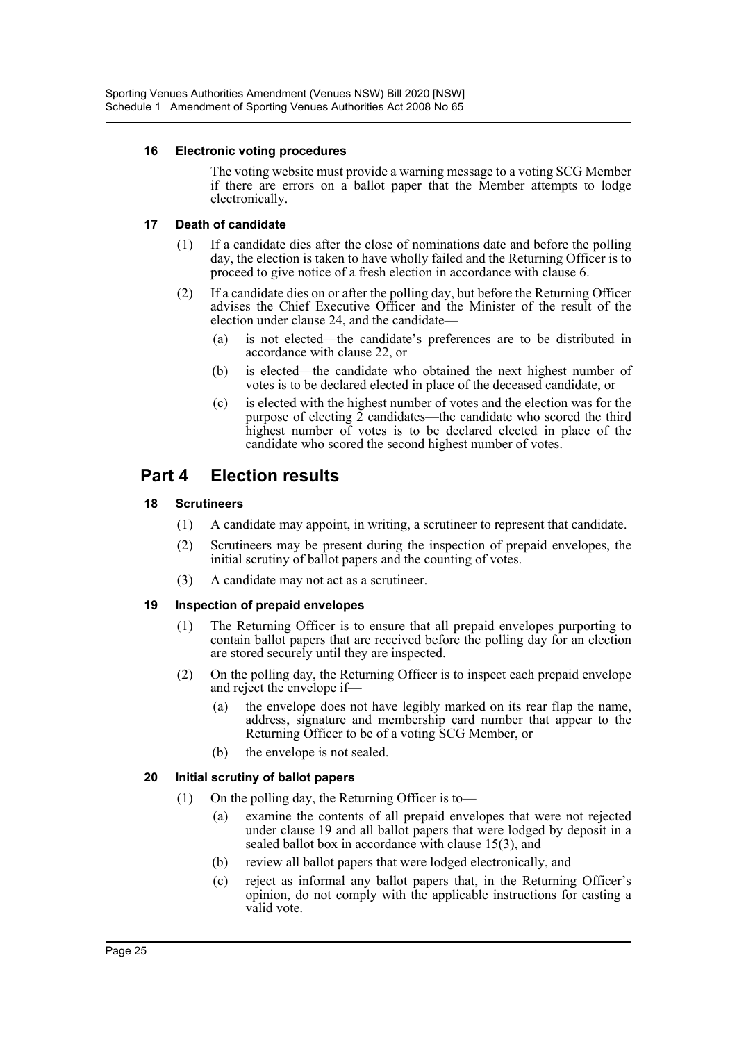#### **16 Electronic voting procedures**

The voting website must provide a warning message to a voting SCG Member if there are errors on a ballot paper that the Member attempts to lodge electronically.

#### **17 Death of candidate**

- (1) If a candidate dies after the close of nominations date and before the polling day, the election is taken to have wholly failed and the Returning Officer is to proceed to give notice of a fresh election in accordance with clause 6.
- (2) If a candidate dies on or after the polling day, but before the Returning Officer advises the Chief Executive Officer and the Minister of the result of the election under clause 24, and the candidate—
	- (a) is not elected—the candidate's preferences are to be distributed in accordance with clause 22, or
	- (b) is elected—the candidate who obtained the next highest number of votes is to be declared elected in place of the deceased candidate, or
	- (c) is elected with the highest number of votes and the election was for the purpose of electing  $\overline{2}$  candidates—the candidate who scored the third highest number of votes is to be declared elected in place of the candidate who scored the second highest number of votes.

## **Part 4 Election results**

## **18 Scrutineers**

- (1) A candidate may appoint, in writing, a scrutineer to represent that candidate.
- (2) Scrutineers may be present during the inspection of prepaid envelopes, the initial scrutiny of ballot papers and the counting of votes.
- (3) A candidate may not act as a scrutineer.

## **19 Inspection of prepaid envelopes**

- (1) The Returning Officer is to ensure that all prepaid envelopes purporting to contain ballot papers that are received before the polling day for an election are stored securely until they are inspected.
- (2) On the polling day, the Returning Officer is to inspect each prepaid envelope and reject the envelope if—
	- (a) the envelope does not have legibly marked on its rear flap the name, address, signature and membership card number that appear to the Returning Officer to be of a voting SCG Member, or
	- (b) the envelope is not sealed.

## **20 Initial scrutiny of ballot papers**

- (1) On the polling day, the Returning Officer is to—
	- (a) examine the contents of all prepaid envelopes that were not rejected under clause 19 and all ballot papers that were lodged by deposit in a sealed ballot box in accordance with clause 15(3), and
	- (b) review all ballot papers that were lodged electronically, and
	- (c) reject as informal any ballot papers that, in the Returning Officer's opinion, do not comply with the applicable instructions for casting a valid vote.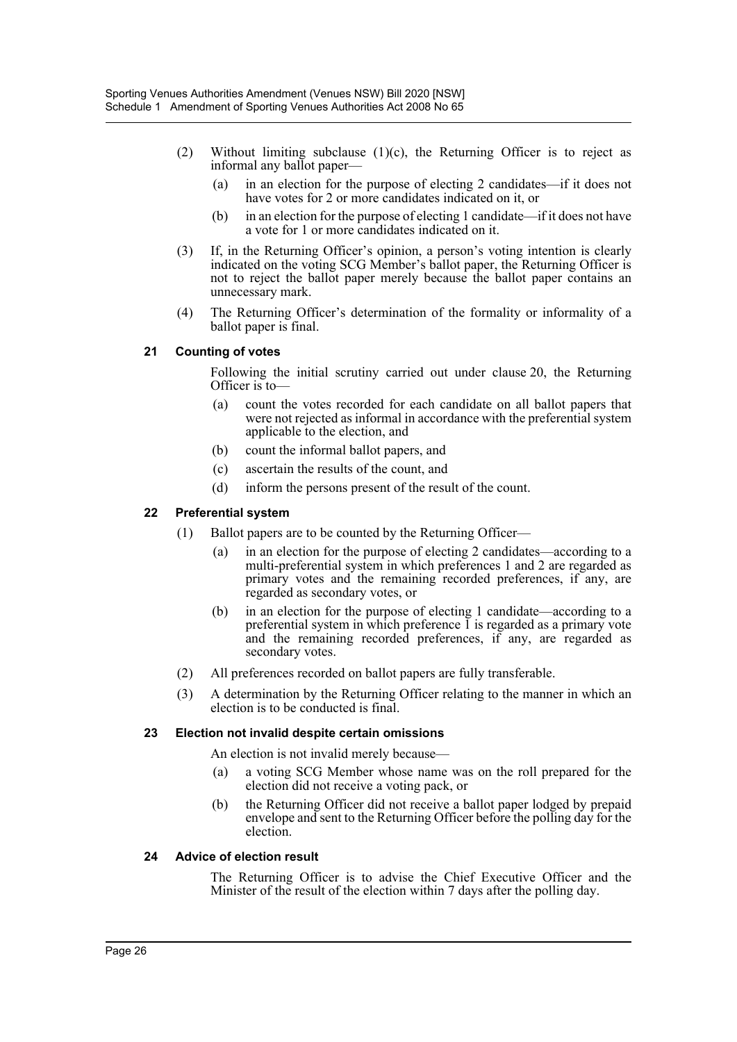- (2) Without limiting subclause  $(1)(c)$ , the Returning Officer is to reject as informal any ballot paper—
	- (a) in an election for the purpose of electing 2 candidates—if it does not have votes for 2 or more candidates indicated on it, or
	- (b) in an election for the purpose of electing 1 candidate—if it does not have a vote for 1 or more candidates indicated on it.
- (3) If, in the Returning Officer's opinion, a person's voting intention is clearly indicated on the voting SCG Member's ballot paper, the Returning Officer is not to reject the ballot paper merely because the ballot paper contains an unnecessary mark.
- (4) The Returning Officer's determination of the formality or informality of a ballot paper is final.

#### **21 Counting of votes**

Following the initial scrutiny carried out under clause 20, the Returning Officer is to—

- (a) count the votes recorded for each candidate on all ballot papers that were not rejected as informal in accordance with the preferential system applicable to the election, and
- (b) count the informal ballot papers, and
- (c) ascertain the results of the count, and
- (d) inform the persons present of the result of the count.

#### **22 Preferential system**

- (1) Ballot papers are to be counted by the Returning Officer—
	- (a) in an election for the purpose of electing 2 candidates—according to a multi-preferential system in which preferences 1 and 2 are regarded as primary votes and the remaining recorded preferences, if any, are regarded as secondary votes, or
	- (b) in an election for the purpose of electing 1 candidate—according to a preferential system in which preference 1 is regarded as a primary vote and the remaining recorded preferences, if any, are regarded as secondary votes.
- (2) All preferences recorded on ballot papers are fully transferable.
- (3) A determination by the Returning Officer relating to the manner in which an election is to be conducted is final.

#### **23 Election not invalid despite certain omissions**

An election is not invalid merely because—

- (a) a voting SCG Member whose name was on the roll prepared for the election did not receive a voting pack, or
- (b) the Returning Officer did not receive a ballot paper lodged by prepaid envelope and sent to the Returning Officer before the polling day for the election.

#### **24 Advice of election result**

The Returning Officer is to advise the Chief Executive Officer and the Minister of the result of the election within 7 days after the polling day.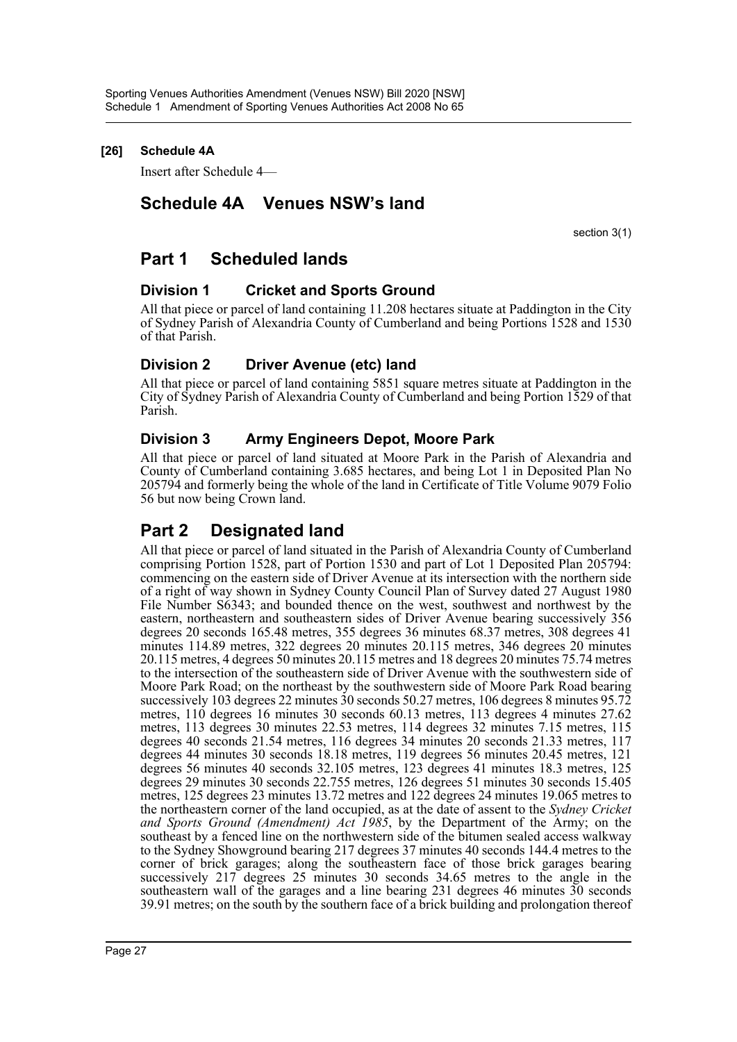## **[26] Schedule 4A**

Insert after Schedule 4—

## **Schedule 4A Venues NSW's land**

section 3(1)

## **Part 1 Scheduled lands**

## **Division 1 Cricket and Sports Ground**

All that piece or parcel of land containing 11.208 hectares situate at Paddington in the City of Sydney Parish of Alexandria County of Cumberland and being Portions 1528 and 1530 of that Parish.

## **Division 2 Driver Avenue (etc) land**

All that piece or parcel of land containing 5851 square metres situate at Paddington in the City of Sydney Parish of Alexandria County of Cumberland and being Portion 1529 of that Parish.

## **Division 3 Army Engineers Depot, Moore Park**

All that piece or parcel of land situated at Moore Park in the Parish of Alexandria and County of Cumberland containing 3.685 hectares, and being Lot 1 in Deposited Plan No 205794 and formerly being the whole of the land in Certificate of Title Volume 9079 Folio 56 but now being Crown land.

## **Part 2 Designated land**

All that piece or parcel of land situated in the Parish of Alexandria County of Cumberland comprising Portion 1528, part of Portion 1530 and part of Lot 1 Deposited Plan 205794: commencing on the eastern side of Driver Avenue at its intersection with the northern side of a right of way shown in Sydney County Council Plan of Survey dated 27 August 1980 File Number S6343; and bounded thence on the west, southwest and northwest by the eastern, northeastern and southeastern sides of Driver Avenue bearing successively 356 degrees 20 seconds 165.48 metres, 355 degrees 36 minutes 68.37 metres, 308 degrees 41 minutes 114.89 metres, 322 degrees 20 minutes 20.115 metres, 346 degrees 20 minutes 20.115 metres, 4 degrees 50 minutes 20.115 metres and 18 degrees 20 minutes 75.74 metres to the intersection of the southeastern side of Driver Avenue with the southwestern side of Moore Park Road; on the northeast by the southwestern side of Moore Park Road bearing successively 103 degrees 22 minutes 30 seconds 50.27 metres, 106 degrees 8 minutes 95.72 metres, 110 degrees 16 minutes 30 seconds 60.13 metres, 113 degrees 4 minutes 27.62 metres, 113 degrees 30 minutes 22.53 metres, 114 degrees 32 minutes 7.15 metres, 115 degrees 40 seconds 21.54 metres, 116 degrees 34 minutes 20 seconds 21.33 metres, 117 degrees 44 minutes 30 seconds 18.18 metres, 119 degrees 56 minutes 20.45 metres, 121 degrees 56 minutes 40 seconds 32.105 metres, 123 degrees 41 minutes 18.3 metres, 125 degrees 29 minutes 30 seconds 22.755 metres, 126 degrees 51 minutes 30 seconds 15.405 metres, 125 degrees 23 minutes 13.72 metres and 122 degrees 24 minutes 19.065 metres to the northeastern corner of the land occupied, as at the date of assent to the *Sydney Cricket and Sports Ground (Amendment) Act 1985*, by the Department of the Army; on the southeast by a fenced line on the northwestern side of the bitumen sealed access walkway to the Sydney Showground bearing 217 degrees 37 minutes 40 seconds 144.4 metres to the corner of brick garages; along the southeastern face of those brick garages bearing successively 217 degrees 25 minutes 30 seconds 34.65 metres to the angle in the southeastern wall of the garages and a line bearing 231 degrees 46 minutes 30 seconds 39.91 metres; on the south by the southern face of a brick building and prolongation thereof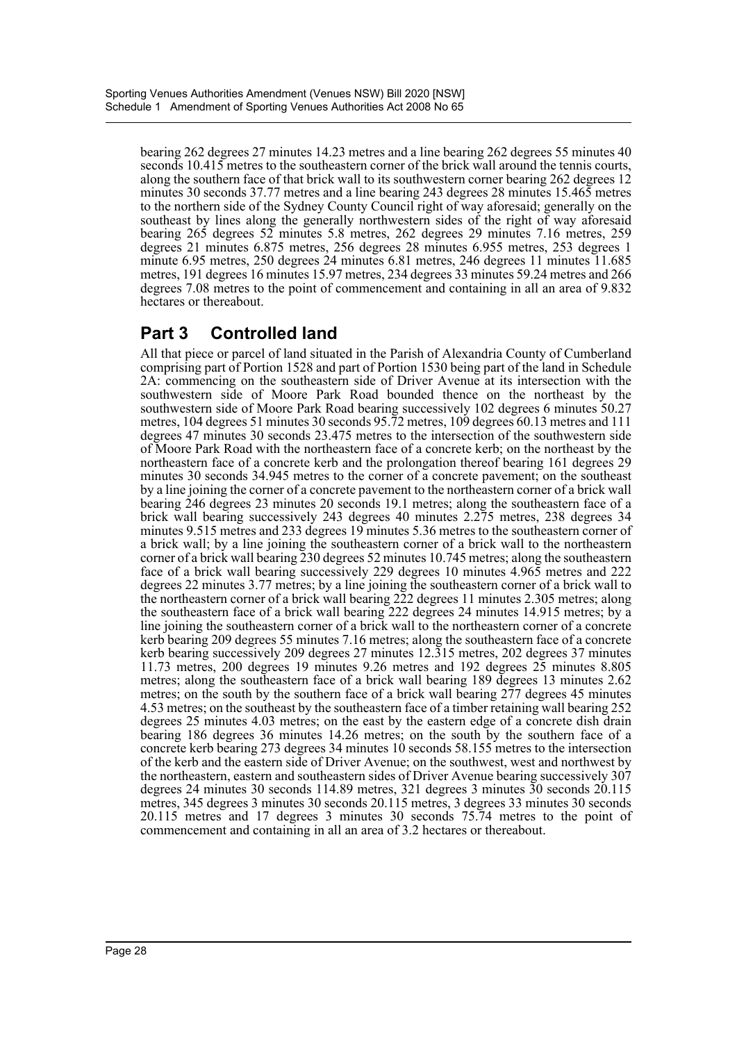bearing 262 degrees 27 minutes 14.23 metres and a line bearing 262 degrees 55 minutes 40 seconds 10.415 metres to the southeastern corner of the brick wall around the tennis courts, along the southern face of that brick wall to its southwestern corner bearing 262 degrees 12 minutes 30 seconds 37.77 metres and a line bearing 243 degrees 28 minutes 15.465 metres to the northern side of the Sydney County Council right of way aforesaid; generally on the southeast by lines along the generally northwestern sides of the right of way aforesaid bearing 265 degrees 52 minutes 5.8 metres, 262 degrees 29 minutes 7.16 metres, 259 degrees 21 minutes 6.875 metres, 256 degrees 28 minutes 6.955 metres, 253 degrees 1 minute 6.95 metres, 250 degrees 24 minutes 6.81 metres, 246 degrees 11 minutes 11.685 metres, 191 degrees 16 minutes 15.97 metres, 234 degrees 33 minutes 59.24 metres and 266 degrees 7.08 metres to the point of commencement and containing in all an area of 9.832 hectares or thereabout.

## **Part 3 Controlled land**

All that piece or parcel of land situated in the Parish of Alexandria County of Cumberland comprising part of Portion 1528 and part of Portion 1530 being part of the land in Schedule 2A: commencing on the southeastern side of Driver Avenue at its intersection with the southwestern side of Moore Park Road bounded thence on the northeast by the southwestern side of Moore Park Road bearing successively 102 degrees 6 minutes 50.27 metres, 104 degrees 51 minutes 30 seconds 95.72 metres, 109 degrees 60.13 metres and 111 degrees 47 minutes 30 seconds 23.475 metres to the intersection of the southwestern side of Moore Park Road with the northeastern face of a concrete kerb; on the northeast by the northeastern face of a concrete kerb and the prolongation thereof bearing 161 degrees 29 minutes 30 seconds 34.945 metres to the corner of a concrete pavement; on the southeast by a line joining the corner of a concrete pavement to the northeastern corner of a brick wall bearing 246 degrees 23 minutes 20 seconds 19.1 metres; along the southeastern face of a brick wall bearing successively 243 degrees 40 minutes 2.275 metres, 238 degrees 34 minutes 9.515 metres and 233 degrees 19 minutes 5.36 metres to the southeastern corner of a brick wall; by a line joining the southeastern corner of a brick wall to the northeastern corner of a brick wall bearing 230 degrees 52 minutes 10.745 metres; along the southeastern face of a brick wall bearing successively 229 degrees 10 minutes 4.965 metres and 222 degrees 22 minutes 3.77 metres; by a line joining the southeastern corner of a brick wall to the northeastern corner of a brick wall bearing 222 degrees 11 minutes 2.305 metres; along the southeastern face of a brick wall bearing 222 degrees 24 minutes 14.915 metres; by a line joining the southeastern corner of a brick wall to the northeastern corner of a concrete kerb bearing 209 degrees 55 minutes 7.16 metres; along the southeastern face of a concrete kerb bearing successively 209 degrees 27 minutes 12.315 metres, 202 degrees 37 minutes 11.73 metres, 200 degrees 19 minutes 9.26 metres and 192 degrees 25 minutes 8.805 metres; along the southeastern face of a brick wall bearing 189 degrees 13 minutes 2.62 metres; on the south by the southern face of a brick wall bearing 277 degrees 45 minutes 4.53 metres; on the southeast by the southeastern face of a timber retaining wall bearing 252 degrees 25 minutes 4.03 metres; on the east by the eastern edge of a concrete dish drain bearing 186 degrees 36 minutes 14.26 metres; on the south by the southern face of a concrete kerb bearing 273 degrees 34 minutes 10 seconds 58.155 metres to the intersection of the kerb and the eastern side of Driver Avenue; on the southwest, west and northwest by the northeastern, eastern and southeastern sides of Driver Avenue bearing successively 307 degrees 24 minutes 30 seconds 114.89 metres, 321 degrees 3 minutes 30 seconds 20.115 metres, 345 degrees 3 minutes 30 seconds 20.115 metres, 3 degrees 33 minutes 30 seconds 20.115 metres and 17 degrees 3 minutes 30 seconds 75.74 metres to the point of commencement and containing in all an area of 3.2 hectares or thereabout.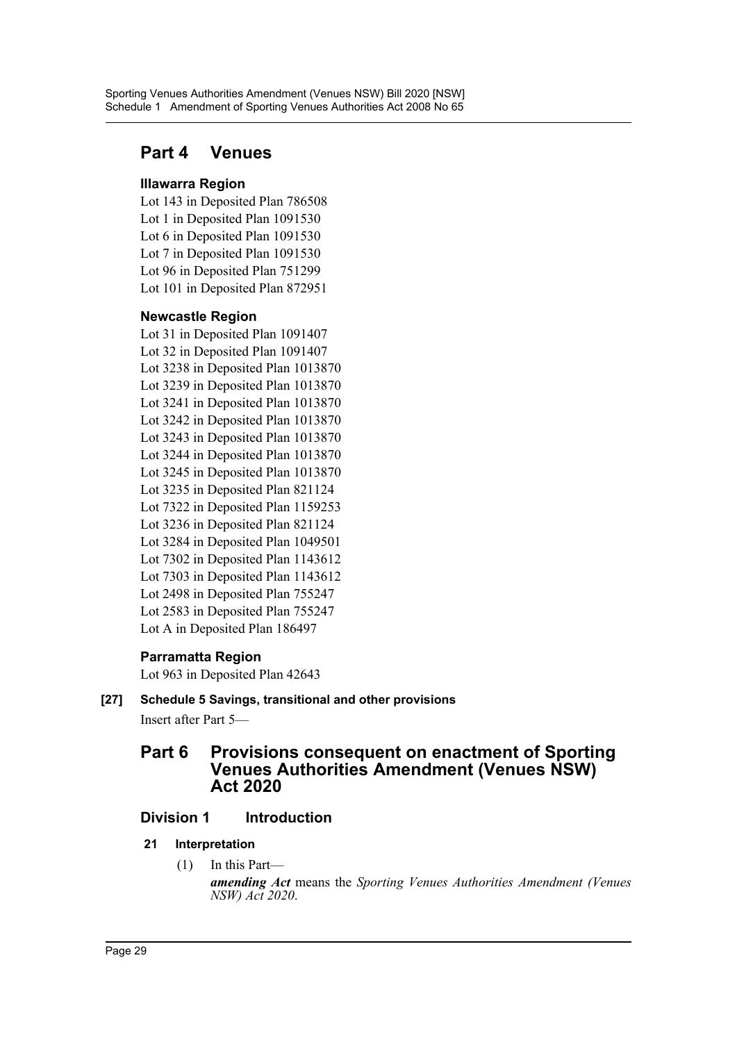## **Part 4 Venues**

## **Illawarra Region**

Lot 143 in Deposited Plan 786508 Lot 1 in Deposited Plan 1091530 Lot 6 in Deposited Plan 1091530 Lot 7 in Deposited Plan 1091530 Lot 96 in Deposited Plan 751299 Lot 101 in Deposited Plan 872951

## **Newcastle Region**

Lot 31 in Deposited Plan 1091407 Lot 32 in Deposited Plan 1091407 Lot 3238 in Deposited Plan 1013870 Lot 3239 in Deposited Plan 1013870 Lot 3241 in Deposited Plan 1013870 Lot 3242 in Deposited Plan 1013870 Lot 3243 in Deposited Plan 1013870 Lot 3244 in Deposited Plan 1013870 Lot 3245 in Deposited Plan 1013870 Lot 3235 in Deposited Plan 821124 Lot 7322 in Deposited Plan 1159253 Lot 3236 in Deposited Plan 821124 Lot 3284 in Deposited Plan 1049501 Lot 7302 in Deposited Plan 1143612 Lot 7303 in Deposited Plan 1143612 Lot 2498 in Deposited Plan 755247 Lot 2583 in Deposited Plan 755247 Lot A in Deposited Plan 186497

## **Parramatta Region**

Lot 963 in Deposited Plan 42643

## **[27] Schedule 5 Savings, transitional and other provisions**

Insert after Part 5—

## **Part 6 Provisions consequent on enactment of Sporting Venues Authorities Amendment (Venues NSW) Act 2020**

## **Division 1 Introduction**

- **21 Interpretation**
	- (1) In this Part *amending Act* means the *Sporting Venues Authorities Amendment (Venues NSW) Act 2020*.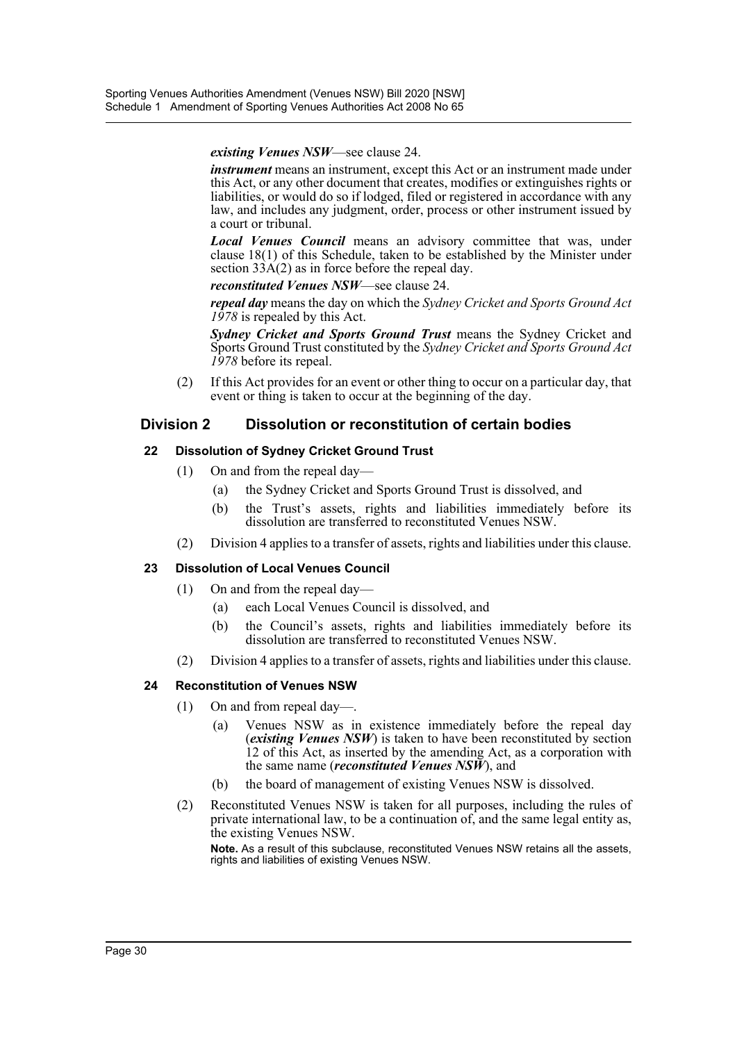*existing Venues NSW*—see clause 24.

*instrument* means an instrument, except this Act or an instrument made under this Act, or any other document that creates, modifies or extinguishes rights or liabilities, or would do so if lodged, filed or registered in accordance with any law, and includes any judgment, order, process or other instrument issued by a court or tribunal.

*Local Venues Council* means an advisory committee that was, under clause 18(1) of this Schedule, taken to be established by the Minister under section  $33\text{A}(2)$  as in force before the repeal day.

*reconstituted Venues NSW*—see clause 24.

*repeal day* means the day on which the *Sydney Cricket and Sports Ground Act 1978* is repealed by this Act.

*Sydney Cricket and Sports Ground Trust* means the Sydney Cricket and Sports Ground Trust constituted by the *Sydney Cricket and Sports Ground Act 1978* before its repeal.

(2) If this Act provides for an event or other thing to occur on a particular day, that event or thing is taken to occur at the beginning of the day.

## **Division 2 Dissolution or reconstitution of certain bodies**

## **22 Dissolution of Sydney Cricket Ground Trust**

- (1) On and from the repeal day—
	- (a) the Sydney Cricket and Sports Ground Trust is dissolved, and
	- (b) the Trust's assets, rights and liabilities immediately before its dissolution are transferred to reconstituted Venues NSW.
- (2) Division 4 applies to a transfer of assets, rights and liabilities under this clause.

## **23 Dissolution of Local Venues Council**

- (1) On and from the repeal day—
	- (a) each Local Venues Council is dissolved, and
	- (b) the Council's assets, rights and liabilities immediately before its dissolution are transferred to reconstituted Venues NSW.
- (2) Division 4 applies to a transfer of assets, rights and liabilities under this clause.

#### **24 Reconstitution of Venues NSW**

- (1) On and from repeal day—.
	- Venues NSW as in existence immediately before the repeal day (*existing Venues NSW*) is taken to have been reconstituted by section 12 of this Act, as inserted by the amending Act, as a corporation with the same name (*reconstituted Venues NSW*), and
	- (b) the board of management of existing Venues NSW is dissolved.
- (2) Reconstituted Venues NSW is taken for all purposes, including the rules of private international law, to be a continuation of, and the same legal entity as, the existing Venues NSW.

**Note.** As a result of this subclause, reconstituted Venues NSW retains all the assets, rights and liabilities of existing Venues NSW.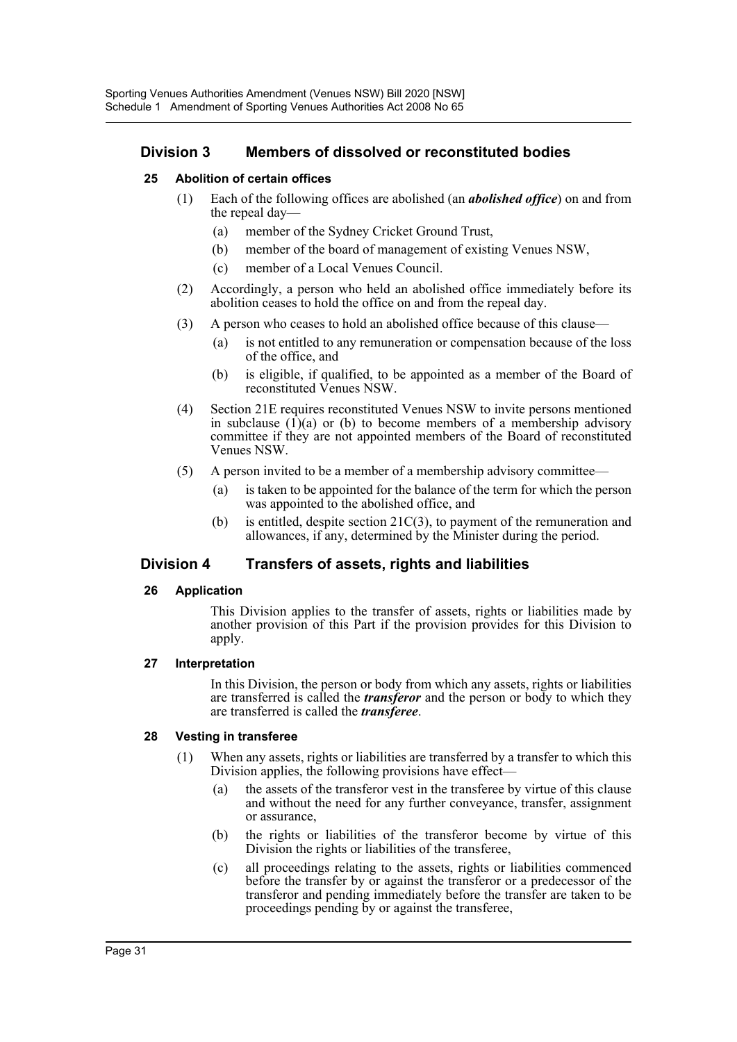## **Division 3 Members of dissolved or reconstituted bodies**

#### **25 Abolition of certain offices**

- (1) Each of the following offices are abolished (an *abolished office*) on and from the repeal day—
	- (a) member of the Sydney Cricket Ground Trust,
	- (b) member of the board of management of existing Venues NSW,
	- (c) member of a Local Venues Council.
- (2) Accordingly, a person who held an abolished office immediately before its abolition ceases to hold the office on and from the repeal day.
- (3) A person who ceases to hold an abolished office because of this clause—
	- (a) is not entitled to any remuneration or compensation because of the loss of the office, and
	- (b) is eligible, if qualified, to be appointed as a member of the Board of reconstituted Venues NSW.
- (4) Section 21E requires reconstituted Venues NSW to invite persons mentioned in subclause  $(1)(a)$  or (b) to become members of a membership advisory committee if they are not appointed members of the Board of reconstituted Venues NSW.
- (5) A person invited to be a member of a membership advisory committee—
	- (a) is taken to be appointed for the balance of the term for which the person was appointed to the abolished office, and
	- (b) is entitled, despite section 21C(3), to payment of the remuneration and allowances, if any, determined by the Minister during the period.

## **Division 4 Transfers of assets, rights and liabilities**

#### **26 Application**

This Division applies to the transfer of assets, rights or liabilities made by another provision of this Part if the provision provides for this Division to apply.

#### **27 Interpretation**

In this Division, the person or body from which any assets, rights or liabilities are transferred is called the *transferor* and the person or body to which they are transferred is called the *transferee*.

#### **28 Vesting in transferee**

- (1) When any assets, rights or liabilities are transferred by a transfer to which this Division applies, the following provisions have effect—
	- (a) the assets of the transferor vest in the transferee by virtue of this clause and without the need for any further conveyance, transfer, assignment or assurance,
	- (b) the rights or liabilities of the transferor become by virtue of this Division the rights or liabilities of the transferee,
	- (c) all proceedings relating to the assets, rights or liabilities commenced before the transfer by or against the transferor or a predecessor of the transferor and pending immediately before the transfer are taken to be proceedings pending by or against the transferee,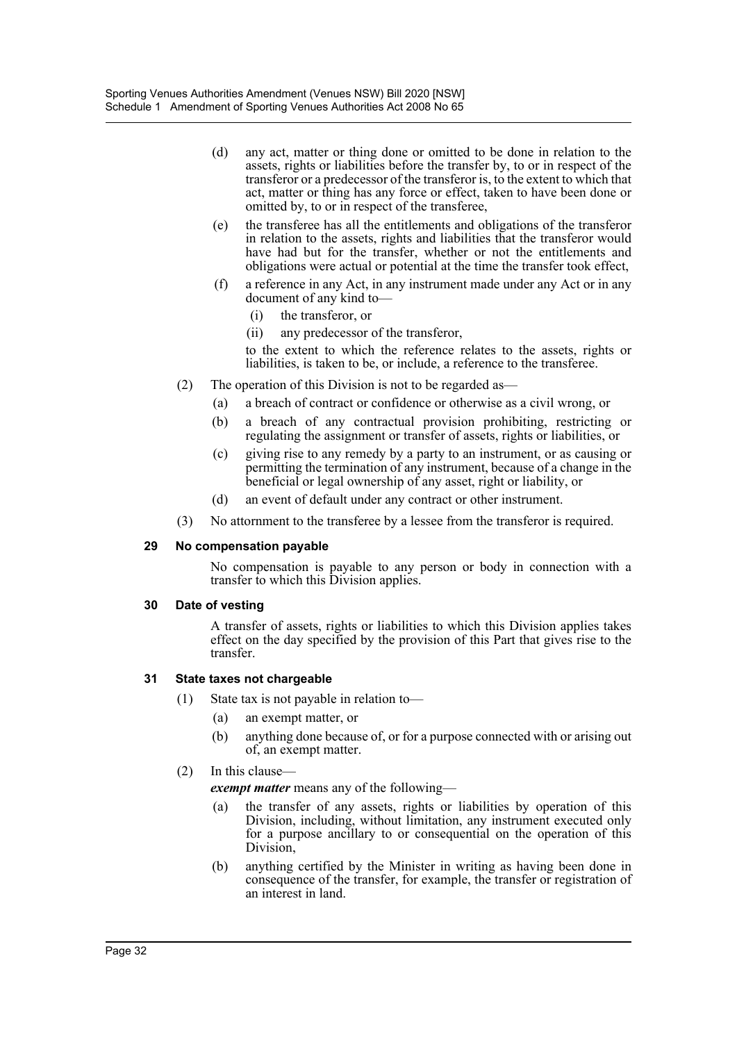- (d) any act, matter or thing done or omitted to be done in relation to the assets, rights or liabilities before the transfer by, to or in respect of the transferor or a predecessor of the transferor is, to the extent to which that act, matter or thing has any force or effect, taken to have been done or omitted by, to or in respect of the transferee,
- (e) the transferee has all the entitlements and obligations of the transferor in relation to the assets, rights and liabilities that the transferor would have had but for the transfer, whether or not the entitlements and obligations were actual or potential at the time the transfer took effect,
- (f) a reference in any Act, in any instrument made under any Act or in any document of any kind to—
	- (i) the transferor, or
	- (ii) any predecessor of the transferor,

to the extent to which the reference relates to the assets, rights or liabilities, is taken to be, or include, a reference to the transferee.

- (2) The operation of this Division is not to be regarded as—
	- (a) a breach of contract or confidence or otherwise as a civil wrong, or
	- (b) a breach of any contractual provision prohibiting, restricting or regulating the assignment or transfer of assets, rights or liabilities, or
	- (c) giving rise to any remedy by a party to an instrument, or as causing or permitting the termination of any instrument, because of a change in the beneficial or legal ownership of any asset, right or liability, or
	- (d) an event of default under any contract or other instrument.
- (3) No attornment to the transferee by a lessee from the transferor is required.

#### **29 No compensation payable**

No compensation is payable to any person or body in connection with a transfer to which this Division applies.

#### **30 Date of vesting**

A transfer of assets, rights or liabilities to which this Division applies takes effect on the day specified by the provision of this Part that gives rise to the transfer.

#### **31 State taxes not chargeable**

- (1) State tax is not payable in relation to—
	- (a) an exempt matter, or
	- (b) anything done because of, or for a purpose connected with or arising out of, an exempt matter.

#### (2) In this clause—

*exempt matter* means any of the following—

- (a) the transfer of any assets, rights or liabilities by operation of this Division, including, without limitation, any instrument executed only for a purpose ancillary to or consequential on the operation of this Division,
- (b) anything certified by the Minister in writing as having been done in consequence of the transfer, for example, the transfer or registration of an interest in land.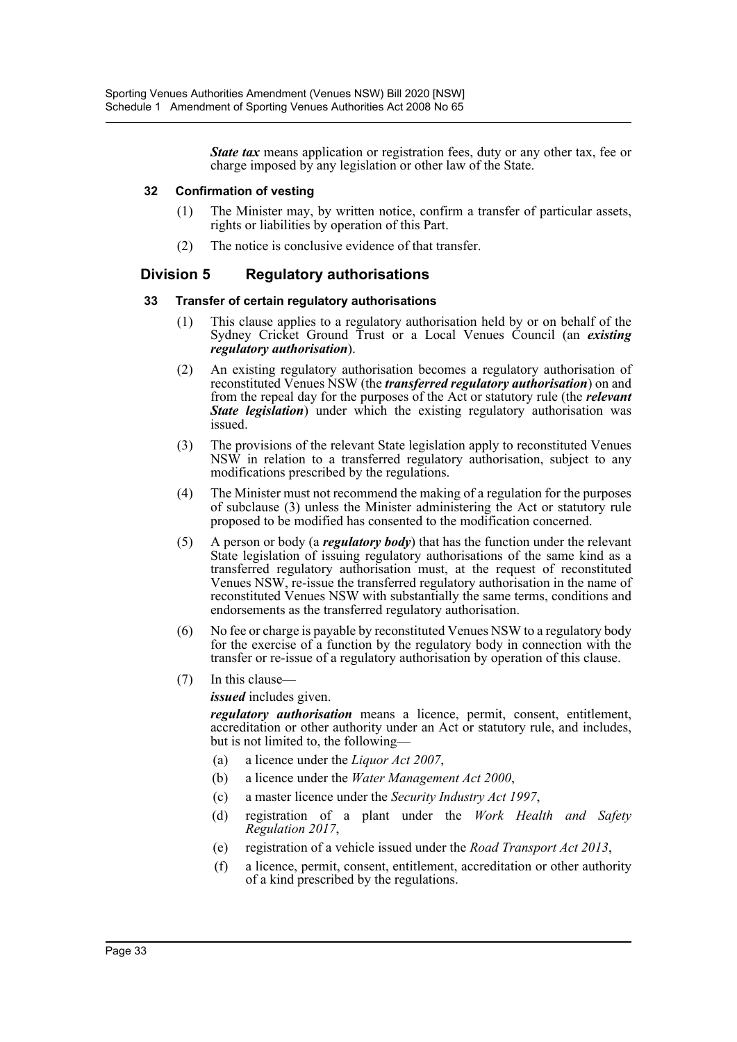*State tax* means application or registration fees, duty or any other tax, fee or charge imposed by any legislation or other law of the State.

#### **32 Confirmation of vesting**

- (1) The Minister may, by written notice, confirm a transfer of particular assets, rights or liabilities by operation of this Part.
- (2) The notice is conclusive evidence of that transfer.

## **Division 5 Regulatory authorisations**

#### **33 Transfer of certain regulatory authorisations**

- (1) This clause applies to a regulatory authorisation held by or on behalf of the Sydney Cricket Ground Trust or a Local Venues Council (an *existing regulatory authorisation*).
- (2) An existing regulatory authorisation becomes a regulatory authorisation of reconstituted Venues NSW (the *transferred regulatory authorisation*) on and from the repeal day for the purposes of the Act or statutory rule (the *relevant State legislation*) under which the existing regulatory authorisation was issued.
- (3) The provisions of the relevant State legislation apply to reconstituted Venues NSW in relation to a transferred regulatory authorisation, subject to any modifications prescribed by the regulations.
- (4) The Minister must not recommend the making of a regulation for the purposes of subclause (3) unless the Minister administering the Act or statutory rule proposed to be modified has consented to the modification concerned.
- (5) A person or body (a *regulatory body*) that has the function under the relevant State legislation of issuing regulatory authorisations of the same kind as a transferred regulatory authorisation must, at the request of reconstituted Venues NSW, re-issue the transferred regulatory authorisation in the name of reconstituted Venues NSW with substantially the same terms, conditions and endorsements as the transferred regulatory authorisation.
- (6) No fee or charge is payable by reconstituted Venues NSW to a regulatory body for the exercise of a function by the regulatory body in connection with the transfer or re-issue of a regulatory authorisation by operation of this clause.
- (7) In this clause—

*issued* includes given.

*regulatory authorisation* means a licence, permit, consent, entitlement, accreditation or other authority under an Act or statutory rule, and includes, but is not limited to, the following—

- (a) a licence under the *Liquor Act 2007*,
- (b) a licence under the *Water Management Act 2000*,
- (c) a master licence under the *Security Industry Act 1997*,
- (d) registration of a plant under the *Work Health and Safety Regulation 2017*,
- (e) registration of a vehicle issued under the *Road Transport Act 2013*,
- (f) a licence, permit, consent, entitlement, accreditation or other authority of a kind prescribed by the regulations.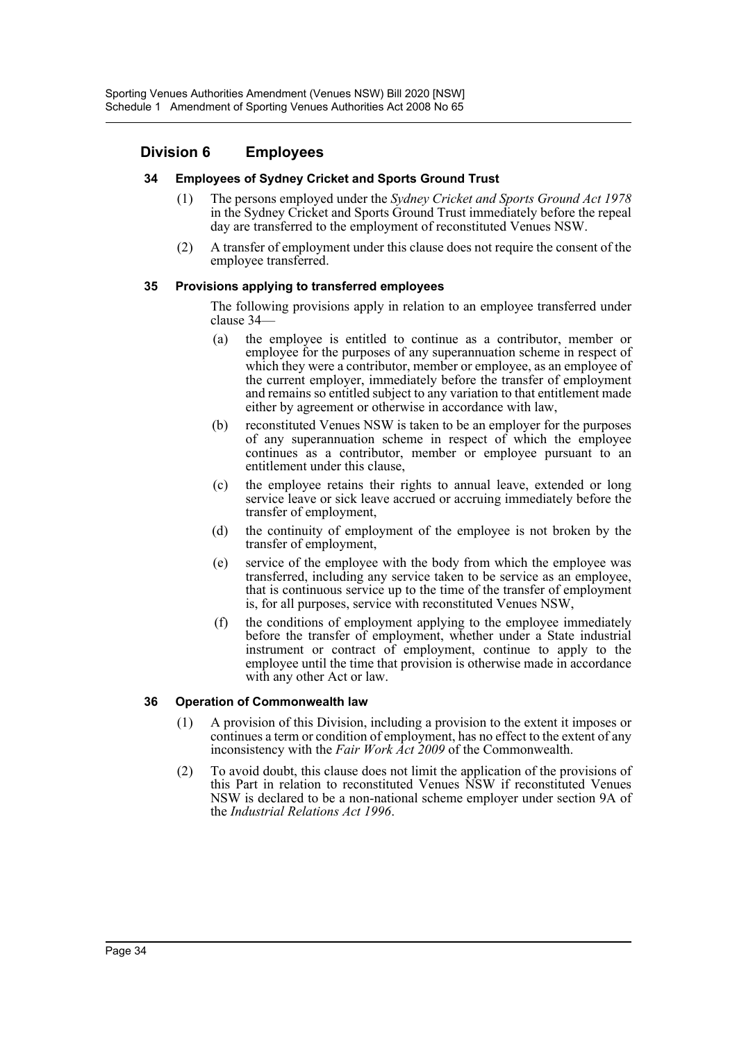## **Division 6 Employees**

#### **34 Employees of Sydney Cricket and Sports Ground Trust**

- (1) The persons employed under the *Sydney Cricket and Sports Ground Act 1978* in the Sydney Cricket and Sports Ground Trust immediately before the repeal day are transferred to the employment of reconstituted Venues NSW.
- (2) A transfer of employment under this clause does not require the consent of the employee transferred.

#### **35 Provisions applying to transferred employees**

The following provisions apply in relation to an employee transferred under clause 34—

- (a) the employee is entitled to continue as a contributor, member or employee for the purposes of any superannuation scheme in respect of which they were a contributor, member or employee, as an employee of the current employer, immediately before the transfer of employment and remains so entitled subject to any variation to that entitlement made either by agreement or otherwise in accordance with law,
- (b) reconstituted Venues NSW is taken to be an employer for the purposes of any superannuation scheme in respect of which the employee continues as a contributor, member or employee pursuant to an entitlement under this clause,
- (c) the employee retains their rights to annual leave, extended or long service leave or sick leave accrued or accruing immediately before the transfer of employment,
- (d) the continuity of employment of the employee is not broken by the transfer of employment,
- (e) service of the employee with the body from which the employee was transferred, including any service taken to be service as an employee, that is continuous service up to the time of the transfer of employment is, for all purposes, service with reconstituted Venues NSW,
- (f) the conditions of employment applying to the employee immediately before the transfer of employment, whether under a State industrial instrument or contract of employment, continue to apply to the employee until the time that provision is otherwise made in accordance with any other Act or law.

#### **36 Operation of Commonwealth law**

- (1) A provision of this Division, including a provision to the extent it imposes or continues a term or condition of employment, has no effect to the extent of any inconsistency with the *Fair Work Act 2009* of the Commonwealth.
- (2) To avoid doubt, this clause does not limit the application of the provisions of this Part in relation to reconstituted Venues NSW if reconstituted Venues NSW is declared to be a non-national scheme employer under section 9A of the *Industrial Relations Act 1996*.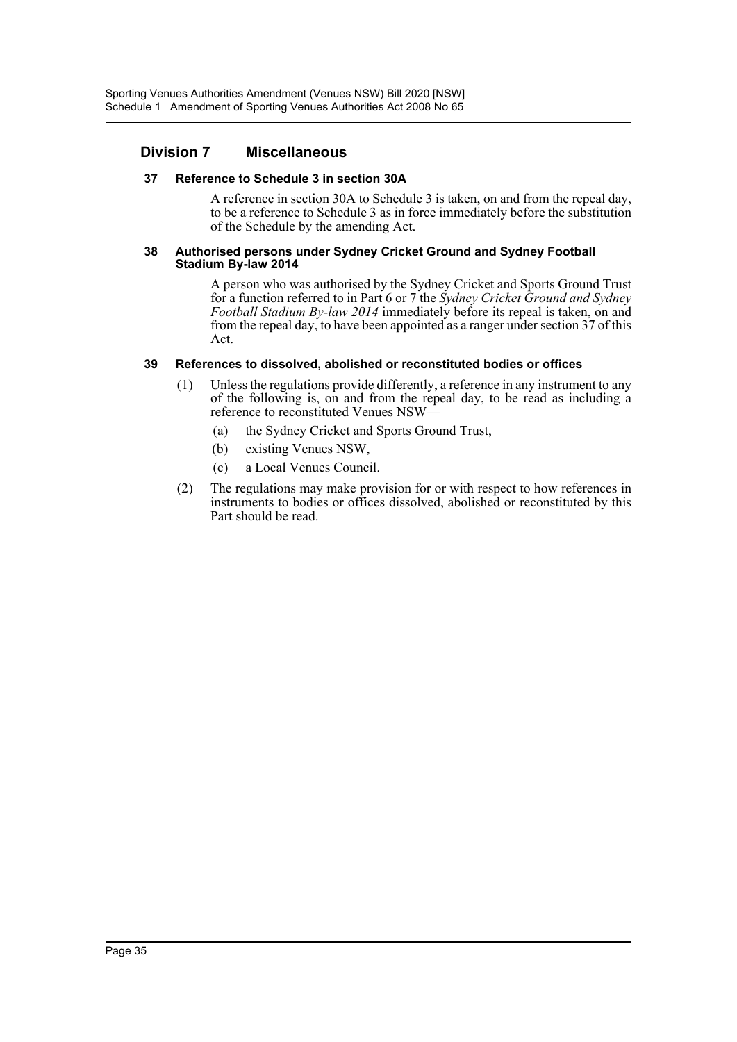## **Division 7 Miscellaneous**

#### **37 Reference to Schedule 3 in section 30A**

A reference in section 30A to Schedule 3 is taken, on and from the repeal day, to be a reference to Schedule 3 as in force immediately before the substitution of the Schedule by the amending Act.

#### **38 Authorised persons under Sydney Cricket Ground and Sydney Football Stadium By-law 2014**

A person who was authorised by the Sydney Cricket and Sports Ground Trust for a function referred to in Part 6 or 7 the *Sydney Cricket Ground and Sydney Football Stadium By-law 2014* immediately before its repeal is taken, on and from the repeal day, to have been appointed as a ranger under section 37 of this Act.

#### **39 References to dissolved, abolished or reconstituted bodies or offices**

- (1) Unless the regulations provide differently, a reference in any instrument to any of the following is, on and from the repeal day, to be read as including a reference to reconstituted Venues NSW—
	- (a) the Sydney Cricket and Sports Ground Trust,
	- (b) existing Venues NSW,
	- (c) a Local Venues Council.
- (2) The regulations may make provision for or with respect to how references in instruments to bodies or offices dissolved, abolished or reconstituted by this Part should be read.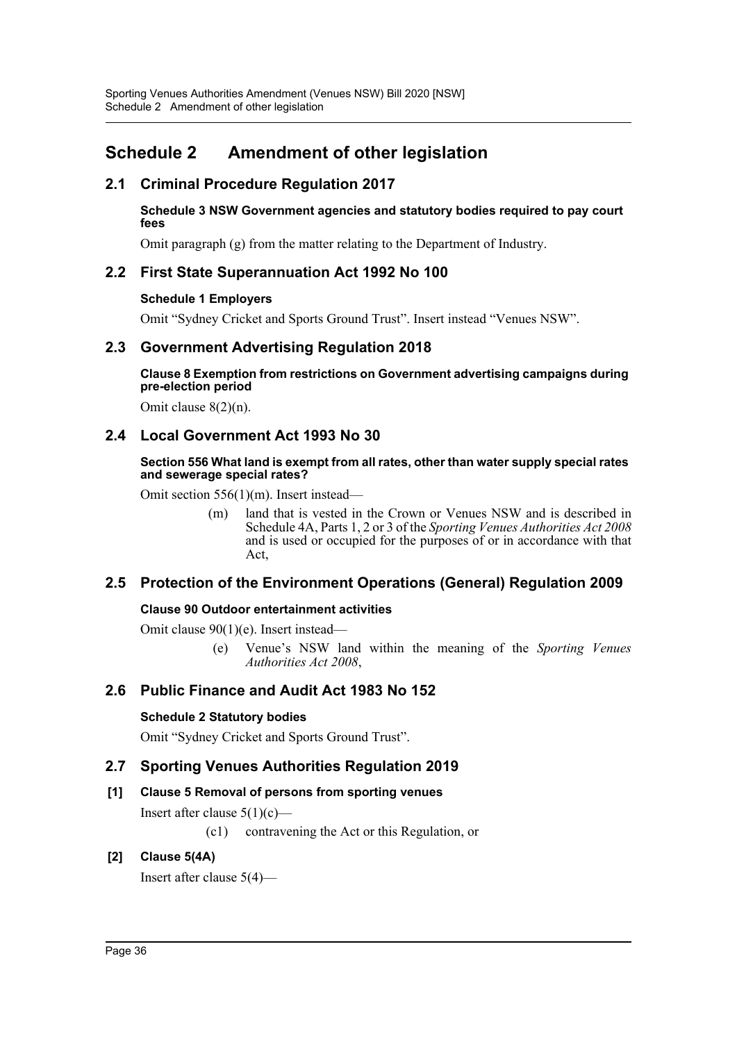## <span id="page-36-0"></span>**Schedule 2 Amendment of other legislation**

## **2.1 Criminal Procedure Regulation 2017**

#### **Schedule 3 NSW Government agencies and statutory bodies required to pay court fees**

Omit paragraph (g) from the matter relating to the Department of Industry.

## **2.2 First State Superannuation Act 1992 No 100**

## **Schedule 1 Employers**

Omit "Sydney Cricket and Sports Ground Trust". Insert instead "Venues NSW".

## **2.3 Government Advertising Regulation 2018**

**Clause 8 Exemption from restrictions on Government advertising campaigns during pre-election period**

Omit clause 8(2)(n).

## **2.4 Local Government Act 1993 No 30**

#### **Section 556 What land is exempt from all rates, other than water supply special rates and sewerage special rates?**

Omit section 556(1)(m). Insert instead—

(m) land that is vested in the Crown or Venues NSW and is described in Schedule 4A, Parts 1, 2 or 3 of the *Sporting Venues Authorities Act 2008* and is used or occupied for the purposes of or in accordance with that Act,

## **2.5 Protection of the Environment Operations (General) Regulation 2009**

## **Clause 90 Outdoor entertainment activities**

Omit clause 90(1)(e). Insert instead—

(e) Venue's NSW land within the meaning of the *Sporting Venues Authorities Act 2008*,

## **2.6 Public Finance and Audit Act 1983 No 152**

## **Schedule 2 Statutory bodies**

Omit "Sydney Cricket and Sports Ground Trust".

## **2.7 Sporting Venues Authorities Regulation 2019**

## **[1] Clause 5 Removal of persons from sporting venues**

Insert after clause  $5(1)(c)$ —

(c1) contravening the Act or this Regulation, or

## **[2] Clause 5(4A)**

Insert after clause 5(4)—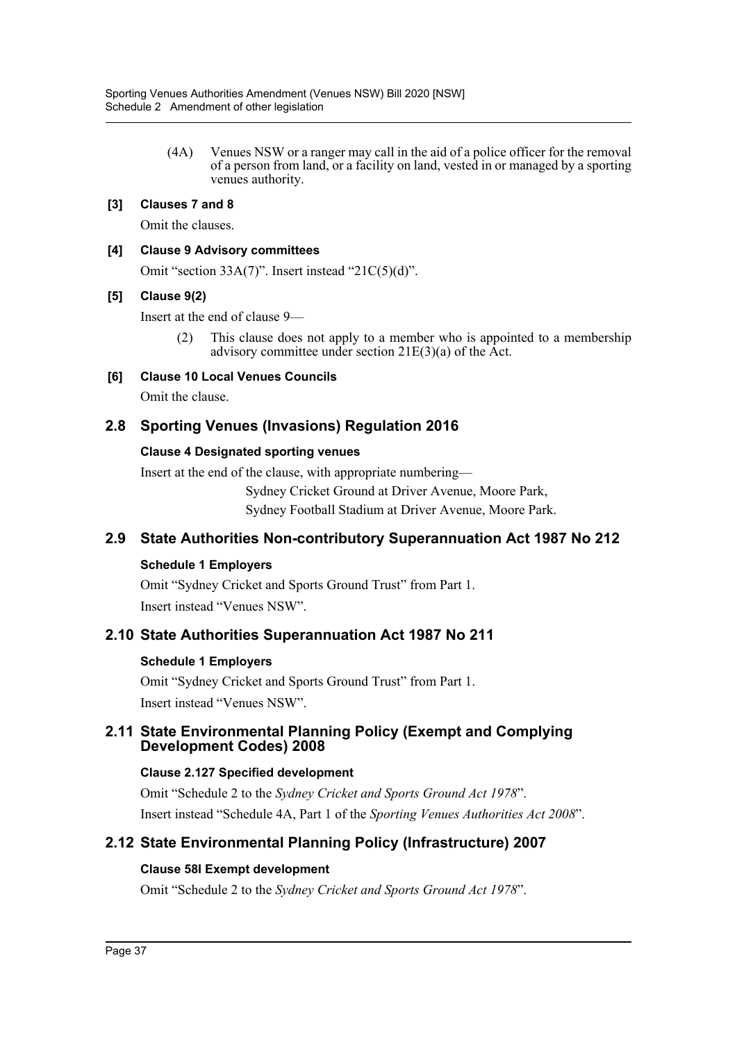(4A) Venues NSW or a ranger may call in the aid of a police officer for the removal of a person from land, or a facility on land, vested in or managed by a sporting venues authority.

## **[3] Clauses 7 and 8**

Omit the clauses.

## **[4] Clause 9 Advisory committees**

Omit "section 33A(7)". Insert instead "21C(5)(d)".

## **[5] Clause 9(2)**

Insert at the end of clause 9—

(2) This clause does not apply to a member who is appointed to a membership advisory committee under section 21E(3)(a) of the Act.

## **[6] Clause 10 Local Venues Councils**

Omit the clause.

## **2.8 Sporting Venues (Invasions) Regulation 2016**

## **Clause 4 Designated sporting venues**

Insert at the end of the clause, with appropriate numbering—

Sydney Cricket Ground at Driver Avenue, Moore Park,

Sydney Football Stadium at Driver Avenue, Moore Park.

## **2.9 State Authorities Non-contributory Superannuation Act 1987 No 212**

## **Schedule 1 Employers**

Omit "Sydney Cricket and Sports Ground Trust" from Part 1. Insert instead "Venues NSW".

## **2.10 State Authorities Superannuation Act 1987 No 211**

## **Schedule 1 Employers**

Omit "Sydney Cricket and Sports Ground Trust" from Part 1. Insert instead "Venues NSW".

## **2.11 State Environmental Planning Policy (Exempt and Complying Development Codes) 2008**

## **Clause 2.127 Specified development**

Omit "Schedule 2 to the *Sydney Cricket and Sports Ground Act 1978*". Insert instead "Schedule 4A, Part 1 of the *Sporting Venues Authorities Act 2008*".

## **2.12 State Environmental Planning Policy (Infrastructure) 2007**

## **Clause 58I Exempt development**

Omit "Schedule 2 to the *Sydney Cricket and Sports Ground Act 1978*".